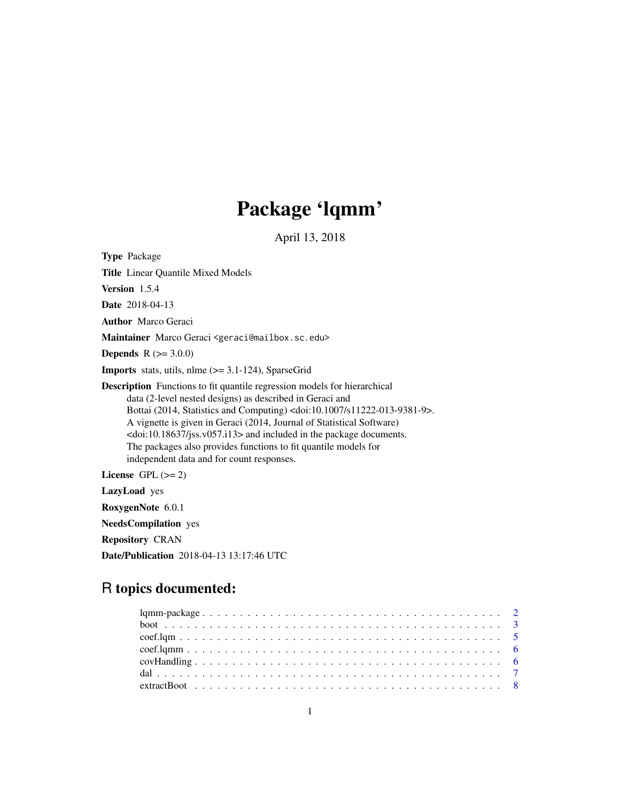# Package 'lqmm'

April 13, 2018

<span id="page-0-0"></span>Type Package Title Linear Quantile Mixed Models Version 1.5.4 Date 2018-04-13 Author Marco Geraci Maintainer Marco Geraci <geraci@mailbox.sc.edu> **Depends**  $R (= 3.0.0)$ **Imports** stats, utils, nlme  $(>= 3.1-124)$ , SparseGrid Description Functions to fit quantile regression models for hierarchical data (2-level nested designs) as described in Geraci and Bottai (2014, Statistics and Computing) <doi:10.1007/s11222-013-9381-9>. A vignette is given in Geraci (2014, Journal of Statistical Software) <doi:10.18637/jss.v057.i13> and included in the package documents. The packages also provides functions to fit quantile models for independent data and for count responses. License GPL  $(>= 2)$ LazyLoad yes RoxygenNote 6.0.1 NeedsCompilation yes Repository CRAN Date/Publication 2018-04-13 13:17:46 UTC

# R topics documented: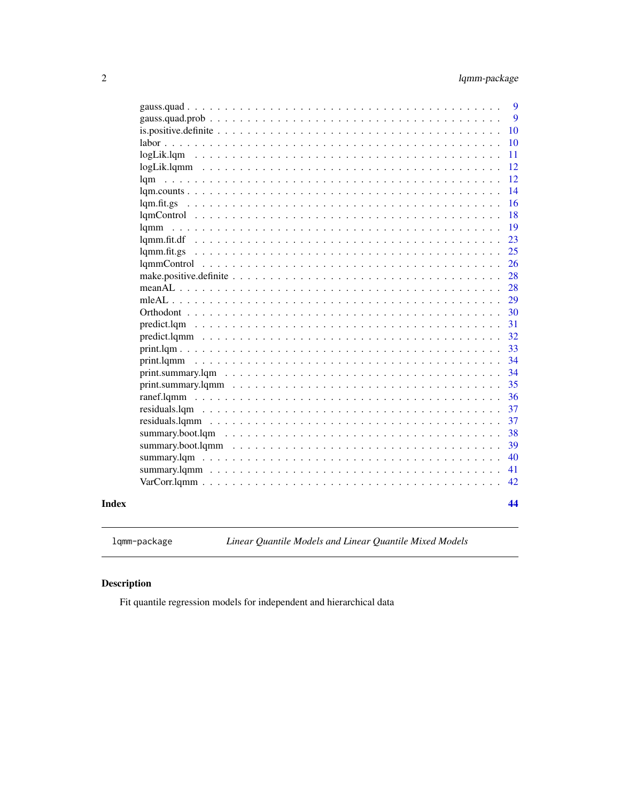<span id="page-1-0"></span>

| lgm<br>$\mathcal{A}$ . The set of the set of $\mathcal{A}$<br>lam.counts<br>lqm.fit.gs | 9<br>9<br>10<br>10<br>11<br>12<br>12<br>14<br>16<br>18 |
|----------------------------------------------------------------------------------------|--------------------------------------------------------|
| lgmm                                                                                   | 19                                                     |
|                                                                                        | 23                                                     |
| $lamm.fit.gs \dots$                                                                    | 25                                                     |
|                                                                                        | 26                                                     |
|                                                                                        | 28                                                     |
|                                                                                        | 28                                                     |
| $mleAL$ $\ldots$ $\ldots$                                                              | 29                                                     |
| Orthodont                                                                              | 30                                                     |
| predict.lqm                                                                            | 31                                                     |
|                                                                                        | 32                                                     |
|                                                                                        | 33                                                     |
|                                                                                        | 34                                                     |
|                                                                                        | 34                                                     |
|                                                                                        | 35                                                     |
|                                                                                        | 36                                                     |
|                                                                                        | 37                                                     |
|                                                                                        | 37                                                     |
| summary.boot.lqm                                                                       | 38                                                     |
|                                                                                        | 39                                                     |
|                                                                                        | 40                                                     |
|                                                                                        | 41                                                     |
|                                                                                        | 42                                                     |
|                                                                                        | 44                                                     |
|                                                                                        |                                                        |

# **Index**

lqmm-package

Linear Quantile Models and Linear Quantile Mixed Models

# $\begin{minipage}{.4\linewidth} \textbf{Description} \end{minipage} \vspace{-0.3mm}$

Fit quantile regression models for independent and hierarchical data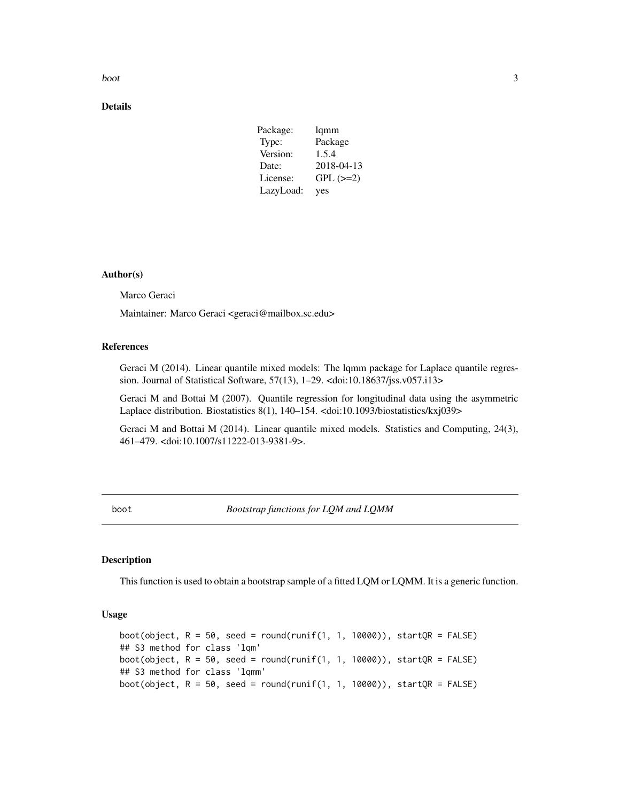<span id="page-2-0"></span>boot 3

# Details

| Package:  | lqmm          |
|-----------|---------------|
| Type:     | Package       |
| Version:  | 1.5.4         |
| Date:     | 2018-04-13    |
| License:  | $GPL$ $(>=2)$ |
| LazyLoad: | yes           |

# Author(s)

Marco Geraci

Maintainer: Marco Geraci <geraci@mailbox.sc.edu>

#### References

Geraci M (2014). Linear quantile mixed models: The lqmm package for Laplace quantile regression. Journal of Statistical Software, 57(13), 1–29. <doi:10.18637/jss.v057.i13>

Geraci M and Bottai M (2007). Quantile regression for longitudinal data using the asymmetric Laplace distribution. Biostatistics 8(1), 140–154. <doi:10.1093/biostatistics/kxj039>

Geraci M and Bottai M (2014). Linear quantile mixed models. Statistics and Computing, 24(3), 461–479. <doi:10.1007/s11222-013-9381-9>.

boot *Bootstrap functions for LQM and LQMM*

#### <span id="page-2-1"></span>Description

This function is used to obtain a bootstrap sample of a fitted LQM or LQMM. It is a generic function.

#### Usage

```
boot(object, R = 50, seed = round(runif(1, 1, 10000)), startQR = FALSE)
## S3 method for class 'lqm'
boot(object, R = 50, seed = round(runif(1, 1, 10000)), startQR = FALSE)
## S3 method for class 'lqmm'
boot(object, R = 50, seed = round(runif(1, 1, 10000)), startQR = FALSE)
```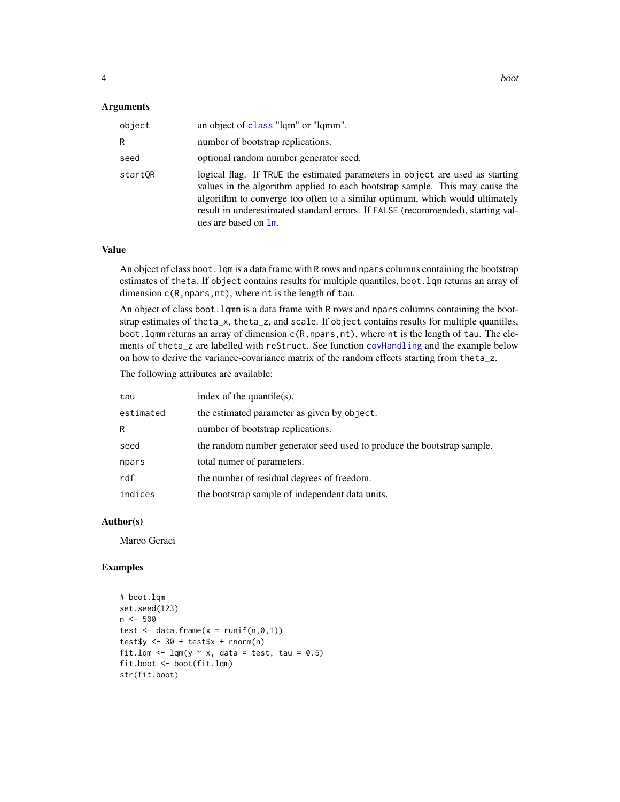#### <span id="page-3-0"></span>**Arguments**

| object  | an object of class "lqm" or "lqmm".                                                                                                                                                                                                                                                                                                                      |
|---------|----------------------------------------------------------------------------------------------------------------------------------------------------------------------------------------------------------------------------------------------------------------------------------------------------------------------------------------------------------|
| R       | number of bootstrap replications.                                                                                                                                                                                                                                                                                                                        |
| seed    | optional random number generator seed.                                                                                                                                                                                                                                                                                                                   |
| startOR | logical flag. If TRUE the estimated parameters in object are used as starting<br>values in the algorithm applied to each bootstrap sample. This may cause the<br>algorithm to converge too often to a similar optimum, which would ultimately<br>result in underestimated standard errors. If FALSE (recommended), starting val-<br>ues are based on 1m. |

#### Value

An object of class boot.lqm is a data frame with R rows and npars columns containing the bootstrap estimates of theta. If object contains results for multiple quantiles, boot.lqm returns an array of dimension  $c(R, npars, nt)$ , where nt is the length of tau.

An object of class boot.lqmm is a data frame with R rows and npars columns containing the bootstrap estimates of theta\_x, theta\_z, and scale. If object contains results for multiple quantiles, boot. lqmm returns an array of dimension c(R, npars, nt), where nt is the length of tau. The elements of theta\_z are labelled with reStruct. See function [covHandling](#page-5-1) and the example below on how to derive the variance-covariance matrix of the random effects starting from theta\_z.

The following attributes are available:

| tau       | index of the quantile(s).                                              |
|-----------|------------------------------------------------------------------------|
| estimated | the estimated parameter as given by object.                            |
| R         | number of bootstrap replications.                                      |
| seed      | the random number generator seed used to produce the bootstrap sample. |
| npars     | total numer of parameters.                                             |
| rdf       | the number of residual degrees of freedom.                             |
| indices   | the bootstrap sample of independent data units.                        |

#### Author(s)

Marco Geraci

#### Examples

```
# boot.lqm
set.seed(123)
n <- 500
test \leq data.frame(x = runif(n,0,1))
test\ <- 30 + test\ + rnorm(n)fit.lqm <- lqm(y \sim x, data = test, tau = 0.5)
fit.boot <- boot(fit.lqm)
str(fit.boot)
```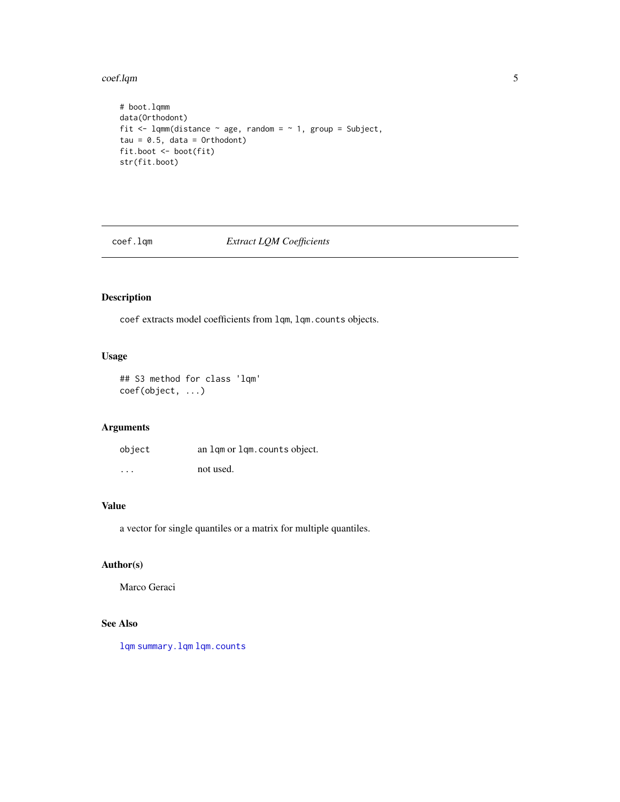<span id="page-4-0"></span>coef.lqm 5

```
# boot.lqmm
data(Orthodont)
fit <- lqmm(distance \sim age, random = \sim 1, group = Subject,
tau = 0.5, data = Orthodont)
fit.boot <- boot(fit)
str(fit.boot)
```
<span id="page-4-1"></span>coef.lqm *Extract LQM Coefficients*

# Description

coef extracts model coefficients from lqm, lqm.counts objects.

# Usage

## S3 method for class 'lqm' coef(object, ...)

# Arguments

| object   | an lgm or lgm. counts object. |
|----------|-------------------------------|
| $\cdots$ | not used.                     |

#### Value

a vector for single quantiles or a matrix for multiple quantiles.

# Author(s)

Marco Geraci

# See Also

[lqm](#page-11-1) [summary.lqm](#page-39-1) [lqm.counts](#page-13-1)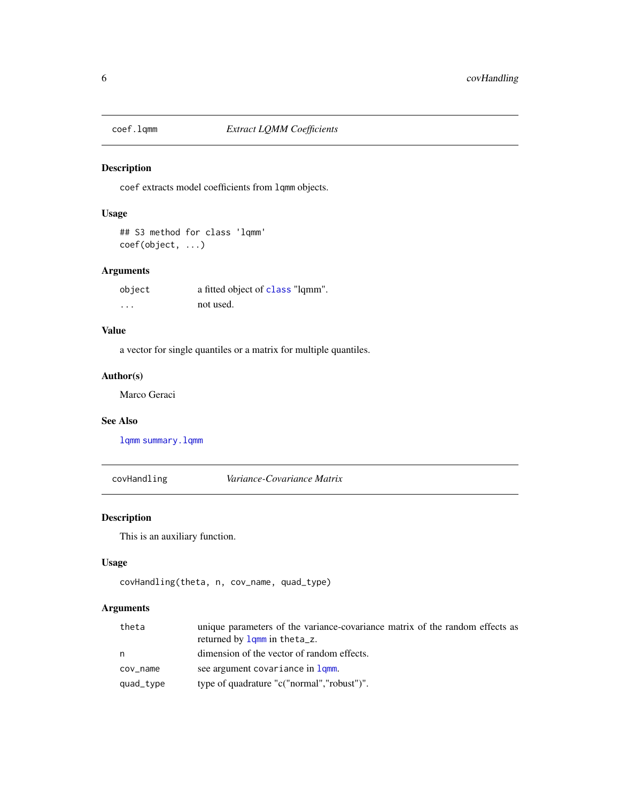<span id="page-5-2"></span><span id="page-5-0"></span>

coef extracts model coefficients from lqmm objects.

# Usage

## S3 method for class 'lqmm' coef(object, ...)

# Arguments

| object | a fitted object of class "lqmm". |
|--------|----------------------------------|
| .      | not used.                        |

# Value

a vector for single quantiles or a matrix for multiple quantiles.

# Author(s)

Marco Geraci

# See Also

[lqmm](#page-18-1) [summary.lqmm](#page-40-1)

<span id="page-5-1"></span>covHandling *Variance-Covariance Matrix*

# Description

This is an auxiliary function.

# Usage

```
covHandling(theta, n, cov_name, quad_type)
```
# Arguments

| theta     | unique parameters of the variance-covariance matrix of the random effects as<br>returned by $lqmm$ in the ta_z. |
|-----------|-----------------------------------------------------------------------------------------------------------------|
| n         | dimension of the vector of random effects.                                                                      |
| cov_name  | see argument covariance in 1qmm.                                                                                |
| quad_type | type of quadrature "c("normal", "robust")".                                                                     |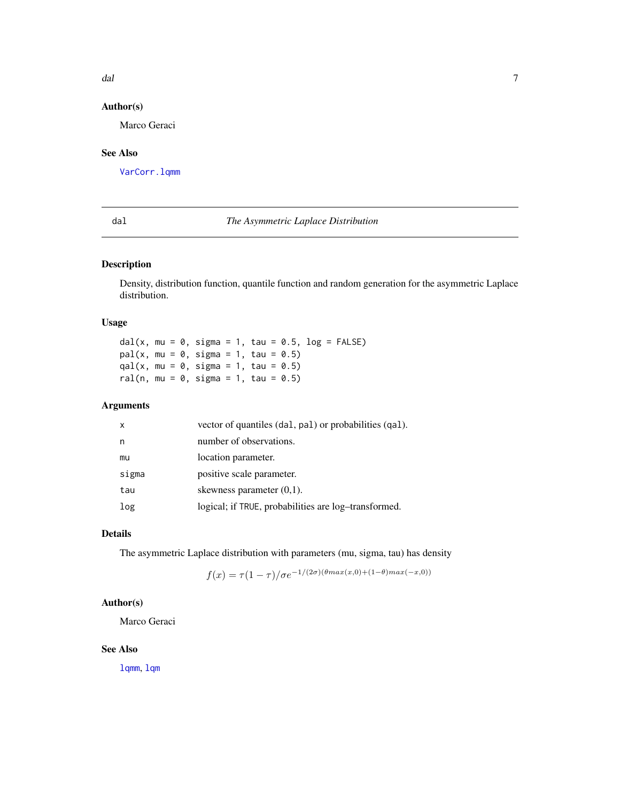#### <span id="page-6-0"></span>dal dal 2008 e al 2008 de la construcción de la construcción de la construcción de la construcción de la construcción de la construcción de la construcción de la construcción de la construcción de la construcción de la con

# Author(s)

Marco Geraci

# See Also

[VarCorr.lqmm](#page-41-1)

#### <span id="page-6-1"></span>dal *The Asymmetric Laplace Distribution*

# Description

Density, distribution function, quantile function and random generation for the asymmetric Laplace distribution.

# Usage

dal(x, mu =  $0$ , sigma = 1, tau =  $0.5$ , log = FALSE)  $pal(x, mu = 0, sigma = 1, tau = 0.5)$  $qal(x, mu = 0, sigma = 1, tau = 0.5)$ ral(n, mu =  $0$ , sigma = 1, tau =  $0.5$ )

# Arguments

| $\mathsf{x}$ | vector of quantiles (dal, pal) or probabilities (qal). |
|--------------|--------------------------------------------------------|
| n            | number of observations.                                |
| mu           | location parameter.                                    |
| sigma        | positive scale parameter.                              |
| tau          | skewness parameter $(0,1)$ .                           |
| log          | logical; if TRUE, probabilities are log-transformed.   |

# Details

The asymmetric Laplace distribution with parameters (mu, sigma, tau) has density

$$
f(x) = \tau (1 - \tau) / \sigma e^{-1/(2\sigma)(\theta max(x,0) + (1 - \theta) max(-x,0))}
$$

# Author(s)

Marco Geraci

#### See Also

[lqmm](#page-18-1), [lqm](#page-11-1)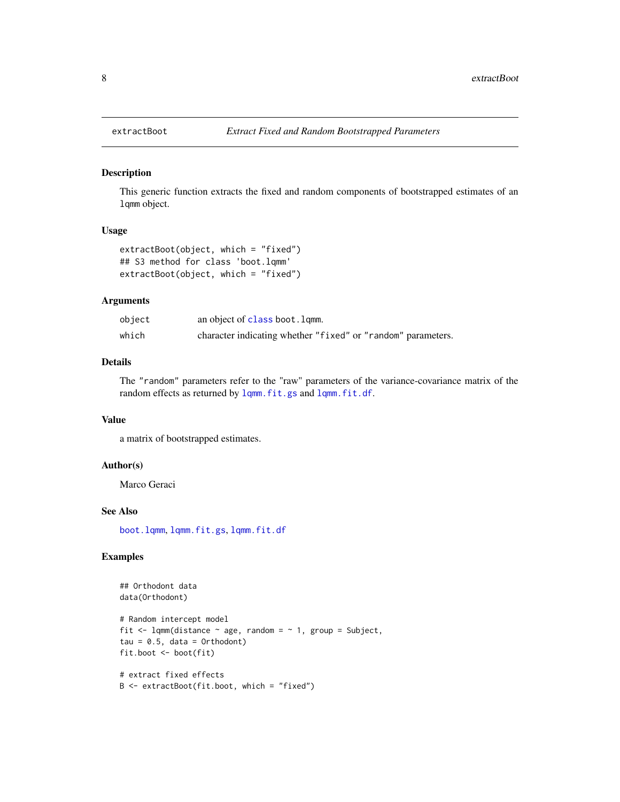This generic function extracts the fixed and random components of bootstrapped estimates of an lqmm object.

#### Usage

```
extractBoot(object, which = "fixed")
## S3 method for class 'boot.lqmm'
extractBoot(object, which = "fixed")
```
# Arguments

| object | an object of class boot. lqmm.                               |
|--------|--------------------------------------------------------------|
| which  | character indicating whether "fixed" or "random" parameters. |

# Details

The "random" parameters refer to the "raw" parameters of the variance-covariance matrix of the random effects as returned by [lqmm.fit.gs](#page-24-1) and [lqmm.fit.df](#page-22-1).

#### Value

a matrix of bootstrapped estimates.

#### Author(s)

Marco Geraci

#### See Also

[boot.lqmm](#page-2-1), [lqmm.fit.gs](#page-24-1), [lqmm.fit.df](#page-22-1)

# Examples

```
## Orthodont data
data(Orthodont)
# Random intercept model
fit \leq lqmm(distance \sim age, random = \sim 1, group = Subject,
tau = 0.5, data = Orthodont)
fit.boot <- boot(fit)
# extract fixed effects
B <- extractBoot(fit.boot, which = "fixed")
```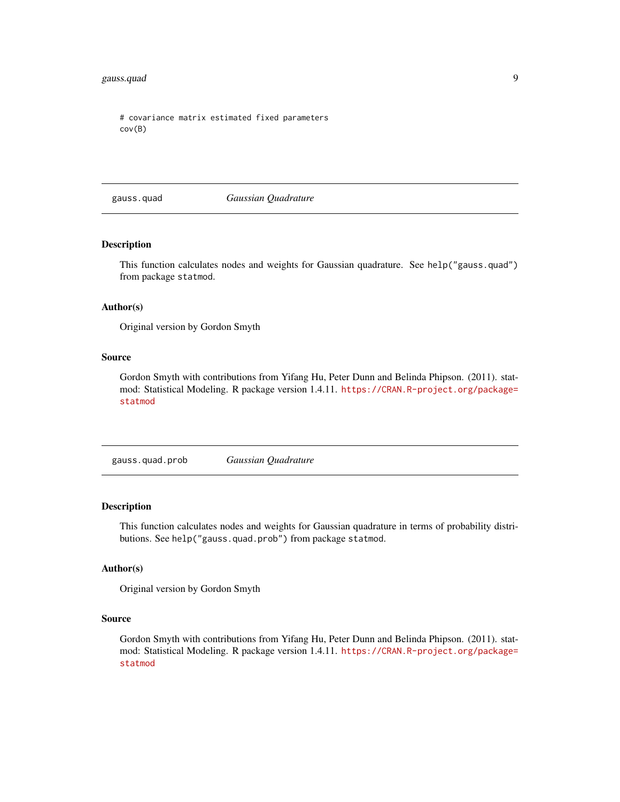# <span id="page-8-0"></span>gauss.quad 9

```
# covariance matrix estimated fixed parameters
cov(B)
```
gauss.quad *Gaussian Quadrature*

# Description

This function calculates nodes and weights for Gaussian quadrature. See help("gauss.quad") from package statmod.

#### Author(s)

Original version by Gordon Smyth

#### Source

Gordon Smyth with contributions from Yifang Hu, Peter Dunn and Belinda Phipson. (2011). statmod: Statistical Modeling. R package version 1.4.11. [https://CRAN.R-project.org/package=](https://CRAN.R-project.org/package=statmod) [statmod](https://CRAN.R-project.org/package=statmod)

gauss.quad.prob *Gaussian Quadrature*

#### Description

This function calculates nodes and weights for Gaussian quadrature in terms of probability distributions. See help("gauss.quad.prob") from package statmod.

#### Author(s)

Original version by Gordon Smyth

### Source

Gordon Smyth with contributions from Yifang Hu, Peter Dunn and Belinda Phipson. (2011). statmod: Statistical Modeling. R package version 1.4.11. [https://CRAN.R-project.org/package=](https://CRAN.R-project.org/package=statmod) [statmod](https://CRAN.R-project.org/package=statmod)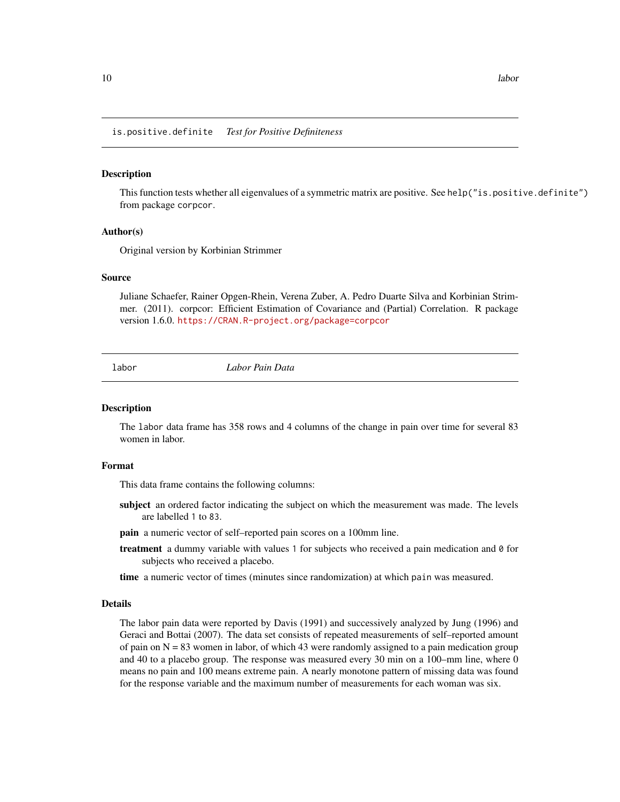<span id="page-9-0"></span>is.positive.definite *Test for Positive Definiteness*

#### **Description**

This function tests whether all eigenvalues of a symmetric matrix are positive. See help("is.positive.definite") from package corpcor.

#### Author(s)

Original version by Korbinian Strimmer

#### Source

Juliane Schaefer, Rainer Opgen-Rhein, Verena Zuber, A. Pedro Duarte Silva and Korbinian Strimmer. (2011). corpcor: Efficient Estimation of Covariance and (Partial) Correlation. R package version 1.6.0. <https://CRAN.R-project.org/package=corpcor>

labor *Labor Pain Data*

#### Description

The labor data frame has 358 rows and 4 columns of the change in pain over time for several 83 women in labor.

#### Format

This data frame contains the following columns:

- subject an ordered factor indicating the subject on which the measurement was made. The levels are labelled 1 to 83.
- pain a numeric vector of self–reported pain scores on a 100mm line.
- treatment a dummy variable with values 1 for subjects who received a pain medication and 0 for subjects who received a placebo.
- time a numeric vector of times (minutes since randomization) at which pain was measured.

#### Details

The labor pain data were reported by Davis (1991) and successively analyzed by Jung (1996) and Geraci and Bottai (2007). The data set consists of repeated measurements of self–reported amount of pain on  $N = 83$  women in labor, of which 43 were randomly assigned to a pain medication group and 40 to a placebo group. The response was measured every 30 min on a 100–mm line, where 0 means no pain and 100 means extreme pain. A nearly monotone pattern of missing data was found for the response variable and the maximum number of measurements for each woman was six.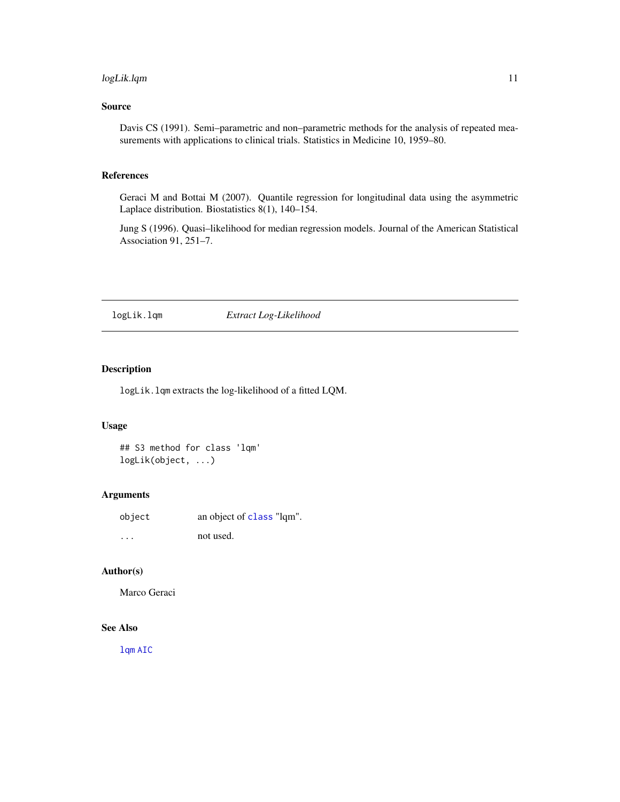# <span id="page-10-0"></span>logLik.lqm 11

# Source

Davis CS (1991). Semi–parametric and non–parametric methods for the analysis of repeated measurements with applications to clinical trials. Statistics in Medicine 10, 1959–80.

# References

Geraci M and Bottai M (2007). Quantile regression for longitudinal data using the asymmetric Laplace distribution. Biostatistics 8(1), 140–154.

Jung S (1996). Quasi–likelihood for median regression models. Journal of the American Statistical Association 91, 251–7.

#### logLik.lqm *Extract Log-Likelihood*

# Description

logLik.lqm extracts the log-likelihood of a fitted LQM.

# Usage

## S3 method for class 'lqm' logLik(object, ...)

# Arguments

object an object of [class](#page-0-0) "lqm".

... not used.

# Author(s)

Marco Geraci

#### See Also

[lqm](#page-11-1) [AIC](#page-0-0)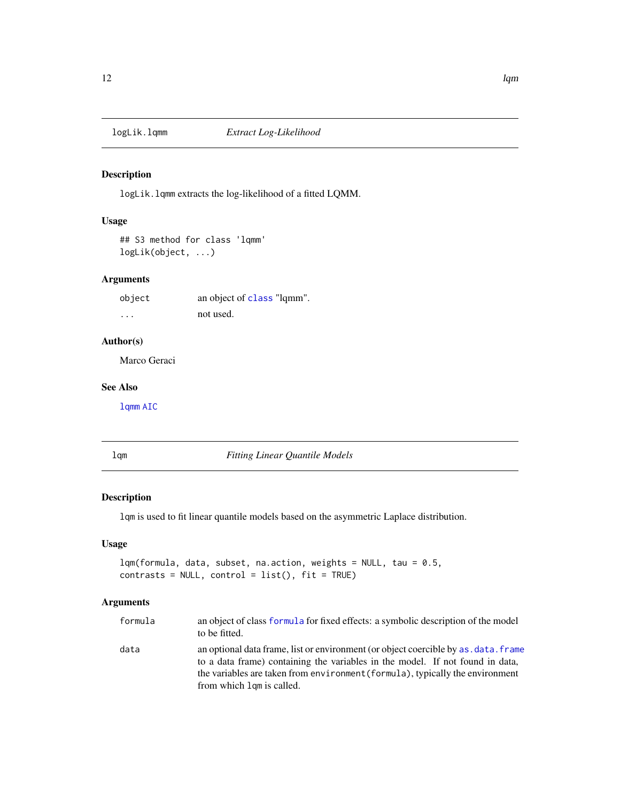<span id="page-11-0"></span>

logLik.lqmm extracts the log-likelihood of a fitted LQMM.

# Usage

## S3 method for class 'lqmm' logLik(object, ...)

#### Arguments

object an object of [class](#page-0-0) "lqmm". ... not used.

#### Author(s)

Marco Geraci

#### See Also

[lqmm](#page-18-1) [AIC](#page-0-0)

<span id="page-11-1"></span>lqm *Fitting Linear Quantile Models*

# Description

lqm is used to fit linear quantile models based on the asymmetric Laplace distribution.

# Usage

```
lqm(formula, data, subset, na.action, weights = NULL, tau = 0.5,
contrast = NULL, control = list(), fit = TRUE)
```
# Arguments

| formula | an object of class formula for fixed effects: a symbolic description of the model<br>to be fitted.                                                                                                                                                                                 |
|---------|------------------------------------------------------------------------------------------------------------------------------------------------------------------------------------------------------------------------------------------------------------------------------------|
| data    | an optional data frame, list or environment (or object coercible by as, data, frame<br>to a data frame) containing the variables in the model. If not found in data,<br>the variables are taken from environment (formula), typically the environment<br>from which lom is called. |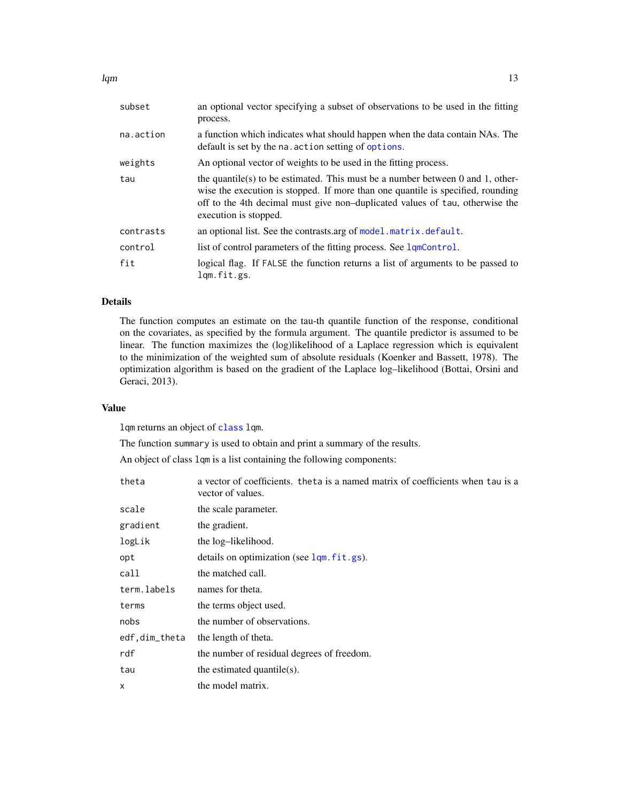<span id="page-12-0"></span>

| subset    | an optional vector specifying a subset of observations to be used in the fitting<br>process.                                                                                                                                                                               |
|-----------|----------------------------------------------------------------------------------------------------------------------------------------------------------------------------------------------------------------------------------------------------------------------------|
| na.action | a function which indicates what should happen when the data contain NAs. The<br>default is set by the na. action setting of options.                                                                                                                                       |
| weights   | An optional vector of weights to be used in the fitting process.                                                                                                                                                                                                           |
| tau       | the quantile(s) to be estimated. This must be a number between 0 and 1, other-<br>wise the execution is stopped. If more than one quantile is specified, rounding<br>off to the 4th decimal must give non-duplicated values of tau, otherwise the<br>execution is stopped. |
| contrasts | an optional list. See the contrasts arg of model matrix default.                                                                                                                                                                                                           |
| control   | list of control parameters of the fitting process. See lqmControl.                                                                                                                                                                                                         |
| fit       | logical flag. If FALSE the function returns a list of arguments to be passed to<br>lgm.fit.gs.                                                                                                                                                                             |

# Details

The function computes an estimate on the tau-th quantile function of the response, conditional on the covariates, as specified by the formula argument. The quantile predictor is assumed to be linear. The function maximizes the (log)likelihood of a Laplace regression which is equivalent to the minimization of the weighted sum of absolute residuals (Koenker and Bassett, 1978). The optimization algorithm is based on the gradient of the Laplace log–likelihood (Bottai, Orsini and Geraci, 2013).

#### Value

lqm returns an object of [class](#page-0-0) lqm.

The function summary is used to obtain and print a summary of the results.

An object of class lqm is a list containing the following components:

| theta         | a vector of coefficients. theta is a named matrix of coefficients when tau is a<br>vector of values. |  |  |  |  |  |  |  |  |
|---------------|------------------------------------------------------------------------------------------------------|--|--|--|--|--|--|--|--|
| scale         | the scale parameter.                                                                                 |  |  |  |  |  |  |  |  |
| gradient      | the gradient.                                                                                        |  |  |  |  |  |  |  |  |
| logLik        | the log-likelihood.                                                                                  |  |  |  |  |  |  |  |  |
| opt           | details on optimization (see lqm.fit.gs).                                                            |  |  |  |  |  |  |  |  |
| call          | the matched call.                                                                                    |  |  |  |  |  |  |  |  |
| term.labels   | names for theta.                                                                                     |  |  |  |  |  |  |  |  |
| terms         | the terms object used.                                                                               |  |  |  |  |  |  |  |  |
| nobs          | the number of observations.                                                                          |  |  |  |  |  |  |  |  |
| edf,dim_theta | the length of theta.                                                                                 |  |  |  |  |  |  |  |  |
| rdf           | the number of residual degrees of freedom.                                                           |  |  |  |  |  |  |  |  |
| tau           | the estimated quantile $(s)$ .                                                                       |  |  |  |  |  |  |  |  |
| $\mathsf{x}$  | the model matrix.                                                                                    |  |  |  |  |  |  |  |  |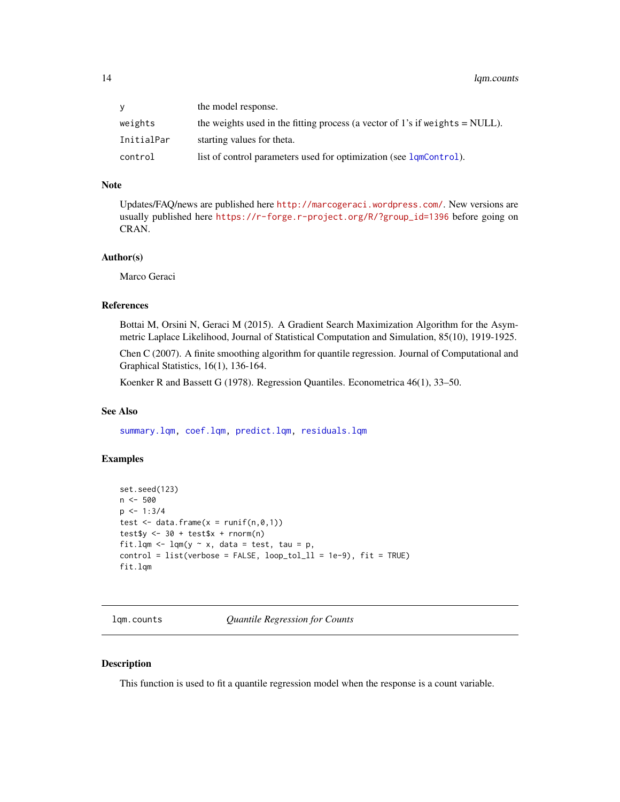# <span id="page-13-0"></span>14 lqm.counts

| V          | the model response.                                                            |
|------------|--------------------------------------------------------------------------------|
| weights    | the weights used in the fitting process (a vector of 1's if weights $=$ NULL). |
| InitialPar | starting values for theta.                                                     |
| control    | list of control parameters used for optimization (see 1qmControl).             |

# Note

Updates/FAQ/news are published here <http://marcogeraci.wordpress.com/>. New versions are usually published here [https://r-forge.r-project.org/R/?group\\_id=1396](https://r-forge.r-project.org/R/?group_id=1396) before going on CRAN.

#### Author(s)

Marco Geraci

#### References

Bottai M, Orsini N, Geraci M (2015). A Gradient Search Maximization Algorithm for the Asymmetric Laplace Likelihood, Journal of Statistical Computation and Simulation, 85(10), 1919-1925.

Chen C (2007). A finite smoothing algorithm for quantile regression. Journal of Computational and Graphical Statistics, 16(1), 136-164.

Koenker R and Bassett G (1978). Regression Quantiles. Econometrica 46(1), 33–50.

# See Also

[summary.lqm,](#page-39-1) [coef.lqm,](#page-4-1) [predict.lqm,](#page-30-1) [residuals.lqm](#page-36-1)

# Examples

```
set.seed(123)
n < -500p \le -1:3/4test \leq data.frame(x = runif(n,0,1))
test\ <- 30 + test$x + rnorm(n)
fit.lqm \leq lqm(y \sim x, data = test, tau = p,
control = list(verbose = FALSE, loop_to_l_l = 1e-9), fit = TRUE)fit.lqm
```
<span id="page-13-1"></span>lqm.counts *Quantile Regression for Counts*

#### Description

This function is used to fit a quantile regression model when the response is a count variable.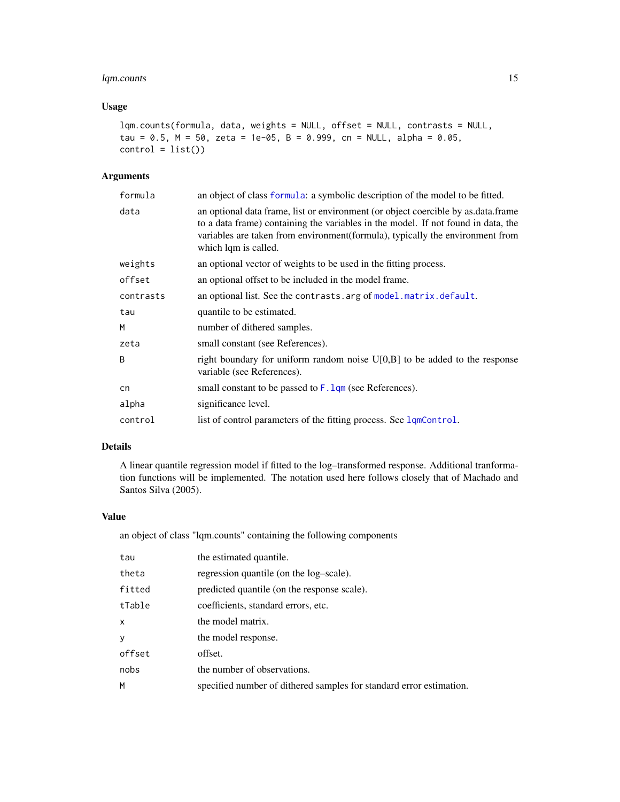# <span id="page-14-0"></span>lqm.counts 15

# Usage

```
lqm.counts(formula, data, weights = NULL, offset = NULL, contrasts = NULL,
tau = 0.5, M = 50, zeta = 1e-05, B = 0.999, cn = NULL, alpha = 0.05,
control = list()
```
#### Arguments

| formula   | an object of class formula: a symbolic description of the model to be fitted.                                                                                                                                                                                                    |  |  |  |  |  |  |
|-----------|----------------------------------------------------------------------------------------------------------------------------------------------------------------------------------------------------------------------------------------------------------------------------------|--|--|--|--|--|--|
| data      | an optional data frame, list or environment (or object coercible by as data frame<br>to a data frame) containing the variables in the model. If not found in data, the<br>variables are taken from environment (formula), typically the environment from<br>which lqm is called. |  |  |  |  |  |  |
| weights   | an optional vector of weights to be used in the fitting process.                                                                                                                                                                                                                 |  |  |  |  |  |  |
| offset    | an optional offset to be included in the model frame.                                                                                                                                                                                                                            |  |  |  |  |  |  |
| contrasts | an optional list. See the contrasts. arg of model. matrix. default.                                                                                                                                                                                                              |  |  |  |  |  |  |
| tau       | quantile to be estimated.                                                                                                                                                                                                                                                        |  |  |  |  |  |  |
| M         | number of dithered samples.                                                                                                                                                                                                                                                      |  |  |  |  |  |  |
| zeta      | small constant (see References).                                                                                                                                                                                                                                                 |  |  |  |  |  |  |
| B         | right boundary for uniform random noise $U[0,B]$ to be added to the response<br>variable (see References).                                                                                                                                                                       |  |  |  |  |  |  |
| cn        | small constant to be passed to $F$ . $Lqm$ (see References).                                                                                                                                                                                                                     |  |  |  |  |  |  |
| alpha     | significance level.                                                                                                                                                                                                                                                              |  |  |  |  |  |  |
| control   | list of control parameters of the fitting process. See lqmControl.                                                                                                                                                                                                               |  |  |  |  |  |  |

# Details

A linear quantile regression model if fitted to the log–transformed response. Additional tranformation functions will be implemented. The notation used here follows closely that of Machado and Santos Silva (2005).

#### Value

an object of class "lqm.counts" containing the following components

| tau    | the estimated quantile.                                             |  |  |  |  |  |
|--------|---------------------------------------------------------------------|--|--|--|--|--|
| theta  | regression quantile (on the log-scale).                             |  |  |  |  |  |
| fitted | predicted quantile (on the response scale).                         |  |  |  |  |  |
| tTable | coefficients, standard errors, etc.                                 |  |  |  |  |  |
| X      | the model matrix.                                                   |  |  |  |  |  |
| y      | the model response.                                                 |  |  |  |  |  |
| offset | offset.                                                             |  |  |  |  |  |
| nobs   | the number of observations.                                         |  |  |  |  |  |
| М      | specified number of dithered samples for standard error estimation. |  |  |  |  |  |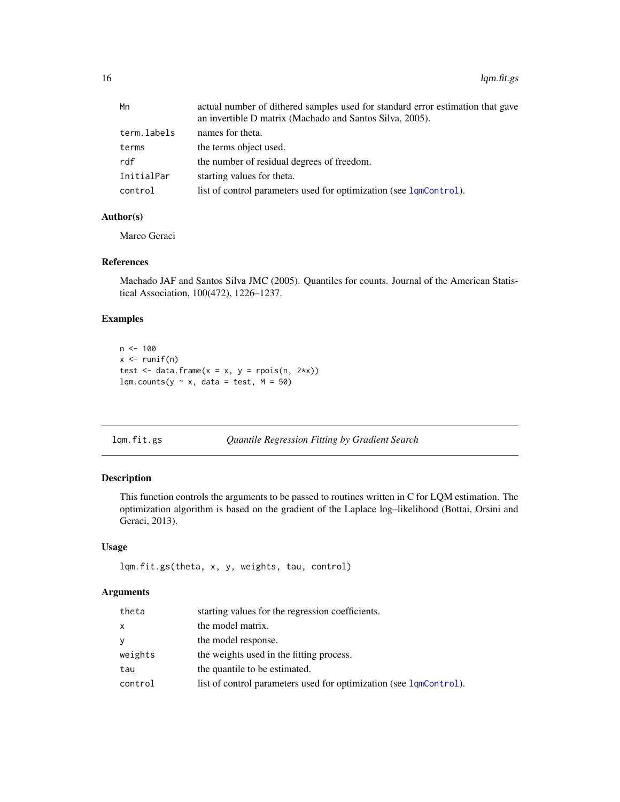<span id="page-15-0"></span>

| Mn          | actual number of dithered samples used for standard error estimation that gave<br>an invertible D matrix (Machado and Santos Silva, 2005). |  |  |  |  |
|-------------|--------------------------------------------------------------------------------------------------------------------------------------------|--|--|--|--|
| term.labels | names for theta.                                                                                                                           |  |  |  |  |
| terms       | the terms object used.                                                                                                                     |  |  |  |  |
| rdf         | the number of residual degrees of freedom.                                                                                                 |  |  |  |  |
| InitialPar  | starting values for theta.                                                                                                                 |  |  |  |  |
| control     | list of control parameters used for optimization (see lqmControl).                                                                         |  |  |  |  |

#### Author(s)

Marco Geraci

#### References

Machado JAF and Santos Silva JMC (2005). Quantiles for counts. Journal of the American Statistical Association, 100(472), 1226–1237.

# Examples

```
n < - 100x \leftarrow runif(n)test \leq data.frame(x = x, y = rpois(n, 2*x))
lqm.counts(y \sim x, data = test, M = 50)
```
# <span id="page-15-1"></span>lqm.fit.gs *Quantile Regression Fitting by Gradient Search*

#### Description

This function controls the arguments to be passed to routines written in C for LQM estimation. The optimization algorithm is based on the gradient of the Laplace log–likelihood (Bottai, Orsini and Geraci, 2013).

#### Usage

```
lqm.fit.gs(theta, x, y, weights, tau, control)
```
# Arguments

| theta   | starting values for the regression coefficients.                   |
|---------|--------------------------------------------------------------------|
| X       | the model matrix.                                                  |
| y       | the model response.                                                |
| weights | the weights used in the fitting process.                           |
| tau     | the quantile to be estimated.                                      |
| control | list of control parameters used for optimization (see 1qmControl). |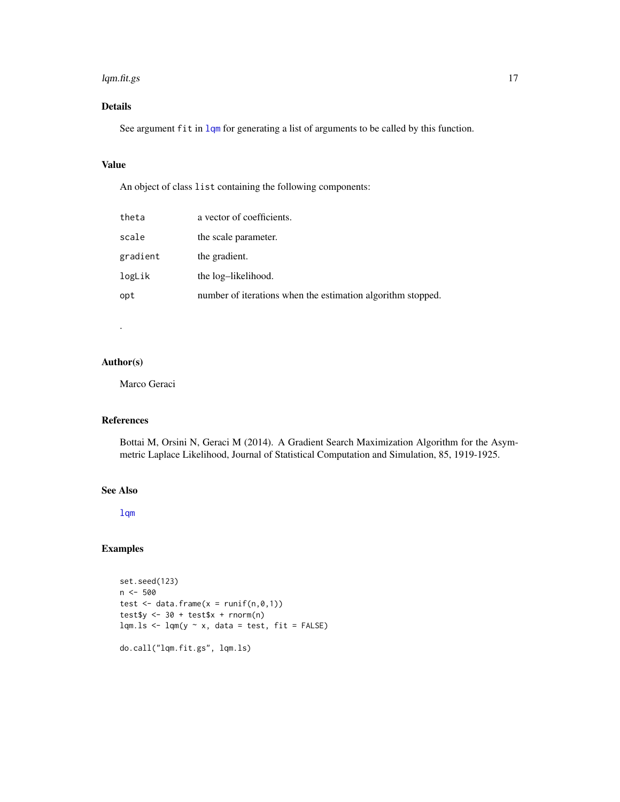#### <span id="page-16-0"></span>lqm.fit.gs 17

# Details

See argument fit in [lqm](#page-11-1) for generating a list of arguments to be called by this function.

# Value

An object of class list containing the following components:

| theta    | a vector of coefficients.                                   |
|----------|-------------------------------------------------------------|
| scale    | the scale parameter.                                        |
| gradient | the gradient.                                               |
| logLik   | the log-likelihood.                                         |
| opt      | number of iterations when the estimation algorithm stopped. |
|          |                                                             |

# Author(s)

.

Marco Geraci

# References

Bottai M, Orsini N, Geraci M (2014). A Gradient Search Maximization Algorithm for the Asymmetric Laplace Likelihood, Journal of Statistical Computation and Simulation, 85, 1919-1925.

# See Also

[lqm](#page-11-1)

# Examples

```
set.seed(123)
n < -500test \leq data.frame(x = runif(n,0,1))
test\ <- 30 + test\ + rnorm(n)lqm.ls < -lqm(y \sim x, data = test, fit = FALSE)do.call("lqm.fit.gs", lqm.ls)
```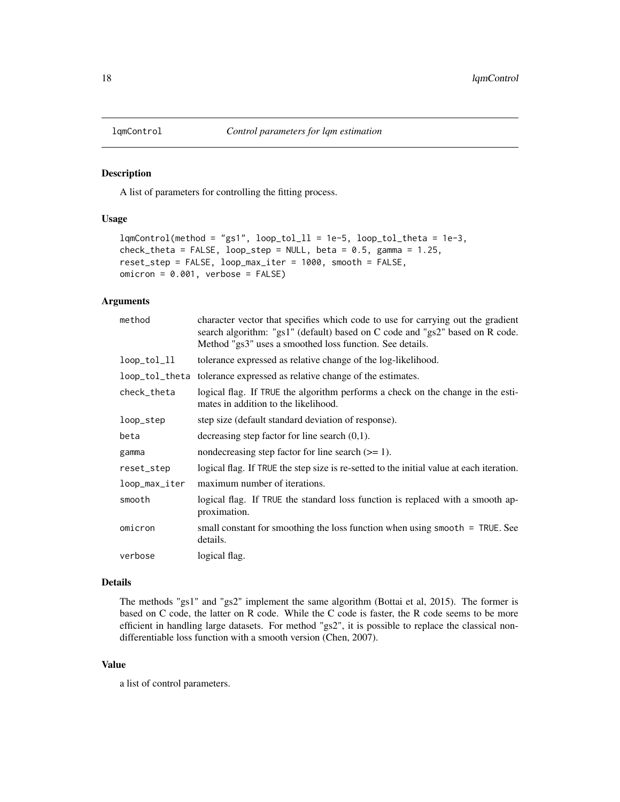A list of parameters for controlling the fitting process.

#### Usage

```
lqmControl(method = "gs1", loop_to1_l = 1e-5, loop_to1_theta = 1e-3,check_{th} = FALSE, loop_step = NULL, beta = 0.5, gamma = 1.25,
reset_step = FALSE, loop_max_iter = 1000, smooth = FALSE,
omicron = 0.001, verbose = FALSE)
```
# Arguments

| method         | character vector that specifies which code to use for carrying out the gradient<br>search algorithm: "gs1" (default) based on C code and "gs2" based on R code.<br>Method "gs3" uses a smoothed loss function. See details. |  |  |  |  |  |  |
|----------------|-----------------------------------------------------------------------------------------------------------------------------------------------------------------------------------------------------------------------------|--|--|--|--|--|--|
| loop_tol_ll    | tolerance expressed as relative change of the log-likelihood.                                                                                                                                                               |  |  |  |  |  |  |
| loop_tol_theta | tolerance expressed as relative change of the estimates.                                                                                                                                                                    |  |  |  |  |  |  |
| check_theta    | logical flag. If TRUE the algorithm performs a check on the change in the esti-<br>mates in addition to the likelihood.                                                                                                     |  |  |  |  |  |  |
| loop_step      | step size (default standard deviation of response).                                                                                                                                                                         |  |  |  |  |  |  |
| beta           | decreasing step factor for line search $(0,1)$ .                                                                                                                                                                            |  |  |  |  |  |  |
| gamma          | nondecreasing step factor for line search $(>= 1)$ .                                                                                                                                                                        |  |  |  |  |  |  |
| reset_step     | logical flag. If TRUE the step size is re-setted to the initial value at each iteration.                                                                                                                                    |  |  |  |  |  |  |
| loop_max_iter  | maximum number of iterations.                                                                                                                                                                                               |  |  |  |  |  |  |
| smooth         | logical flag. If TRUE the standard loss function is replaced with a smooth ap-<br>proximation.                                                                                                                              |  |  |  |  |  |  |
| omicron        | small constant for smoothing the loss function when using smooth $=$ TRUE. See<br>details.                                                                                                                                  |  |  |  |  |  |  |
| verbose        | logical flag.                                                                                                                                                                                                               |  |  |  |  |  |  |

#### Details

The methods "gs1" and "gs2" implement the same algorithm (Bottai et al, 2015). The former is based on C code, the latter on R code. While the C code is faster, the R code seems to be more efficient in handling large datasets. For method "gs2", it is possible to replace the classical nondifferentiable loss function with a smooth version (Chen, 2007).

#### Value

a list of control parameters.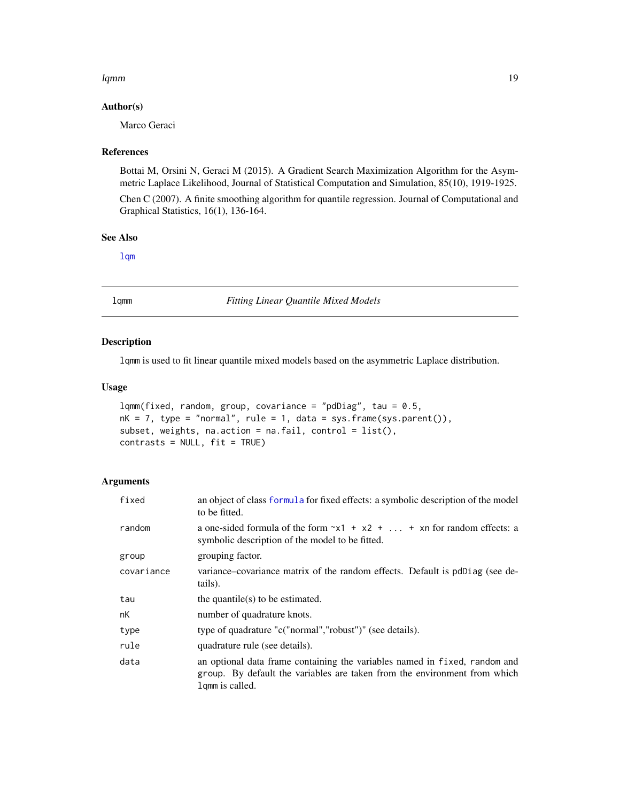#### <span id="page-18-0"></span>lqmm to the control of the control of the control of the control of the control of the control of the control of the control of the control of the control of the control of the control of the control of the control of the

#### Author(s)

Marco Geraci

#### References

Bottai M, Orsini N, Geraci M (2015). A Gradient Search Maximization Algorithm for the Asymmetric Laplace Likelihood, Journal of Statistical Computation and Simulation, 85(10), 1919-1925.

Chen C (2007). A finite smoothing algorithm for quantile regression. Journal of Computational and Graphical Statistics, 16(1), 136-164.

#### See Also

[lqm](#page-11-1)

<span id="page-18-1"></span>lqmm *Fitting Linear Quantile Mixed Models*

#### Description

lqmm is used to fit linear quantile mixed models based on the asymmetric Laplace distribution.

#### Usage

```
lqmm(fixed, random, group, covariance = "pdDiag", tau = 0.5,
nk = 7, type = "normal", rule = 1, data = sys.frame(sys.parent()),
subset, weights, na.action = na.fail, control = list(),
contrasts = NULL, fit = TRUE)
```
#### Arguments

| fixed      | an object of class formula for fixed effects: a symbolic description of the model<br>to be fitted.                                                                         |  |  |  |  |  |  |
|------------|----------------------------------------------------------------------------------------------------------------------------------------------------------------------------|--|--|--|--|--|--|
| random     | a one-sided formula of the form $x_1 + x_2 +  + x_n$ for random effects: a<br>symbolic description of the model to be fitted.                                              |  |  |  |  |  |  |
| group      | grouping factor.                                                                                                                                                           |  |  |  |  |  |  |
| covariance | variance–covariance matrix of the random effects. Default is pdDiag (see de-<br>tails).                                                                                    |  |  |  |  |  |  |
| tau        | the quantile( $s$ ) to be estimated.                                                                                                                                       |  |  |  |  |  |  |
| nK         | number of quadrature knots.                                                                                                                                                |  |  |  |  |  |  |
| type       | type of quadrature "c("normal","robust")" (see details).                                                                                                                   |  |  |  |  |  |  |
| rule       | quadrature rule (see details).                                                                                                                                             |  |  |  |  |  |  |
| data       | an optional data frame containing the variables named in fixed, random and<br>group. By default the variables are taken from the environment from which<br>lgmm is called. |  |  |  |  |  |  |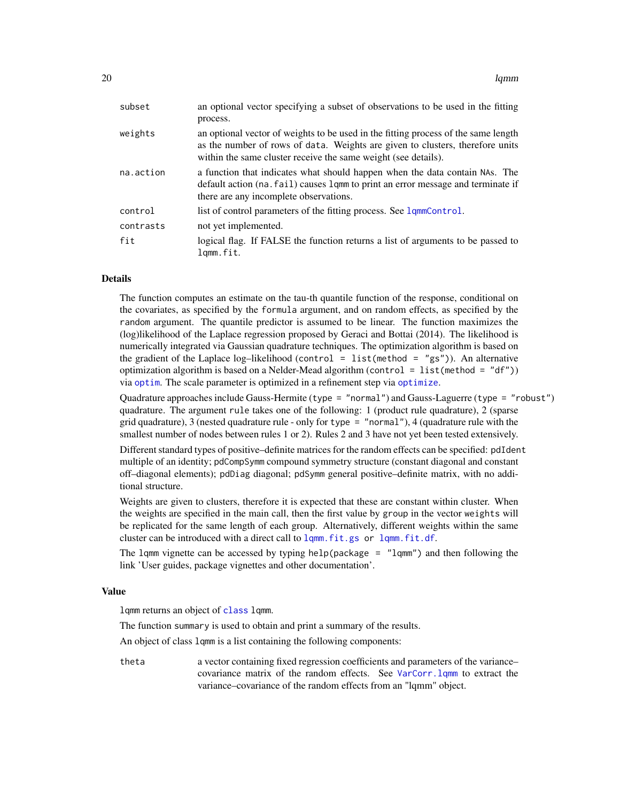<span id="page-19-0"></span>

| subset    | an optional vector specifying a subset of observations to be used in the fitting<br>process.                                                                                                                                          |
|-----------|---------------------------------------------------------------------------------------------------------------------------------------------------------------------------------------------------------------------------------------|
| weights   | an optional vector of weights to be used in the fitting process of the same length<br>as the number of rows of data. Weights are given to clusters, therefore units<br>within the same cluster receive the same weight (see details). |
| na.action | a function that indicates what should happen when the data contain NAS. The<br>default action (na. fail) causes 1 qmm to print an error message and terminate if<br>there are any incomplete observations.                            |
| control   | list of control parameters of the fitting process. See lqmmControl.                                                                                                                                                                   |
| contrasts | not yet implemented.                                                                                                                                                                                                                  |
| fit       | logical flag. If FALSE the function returns a list of arguments to be passed to<br>lgmm.fit.                                                                                                                                          |

# Details

The function computes an estimate on the tau-th quantile function of the response, conditional on the covariates, as specified by the formula argument, and on random effects, as specified by the random argument. The quantile predictor is assumed to be linear. The function maximizes the (log)likelihood of the Laplace regression proposed by Geraci and Bottai (2014). The likelihood is numerically integrated via Gaussian quadrature techniques. The optimization algorithm is based on the gradient of the Laplace log-likelihood (control = list(method = "gs")). An alternative optimization algorithm is based on a Nelder-Mead algorithm (control = list(method =  $"df")$ ) via [optim](#page-0-0). The scale parameter is optimized in a refinement step via [optimize](#page-0-0).

Quadrature approaches include Gauss-Hermite (type = "normal") and Gauss-Laguerre (type = "robust") quadrature. The argument rule takes one of the following: 1 (product rule quadrature), 2 (sparse grid quadrature), 3 (nested quadrature rule - only for type  $=$  "normal"), 4 (quadrature rule with the smallest number of nodes between rules 1 or 2). Rules 2 and 3 have not yet been tested extensively.

Different standard types of positive–definite matrices for the random effects can be specified: pdIdent multiple of an identity; pdCompSymm compound symmetry structure (constant diagonal and constant off–diagonal elements); pdDiag diagonal; pdSymm general positive–definite matrix, with no additional structure.

Weights are given to clusters, therefore it is expected that these are constant within cluster. When the weights are specified in the main call, then the first value by group in the vector weights will be replicated for the same length of each group. Alternatively, different weights within the same cluster can be introduced with a direct call to  $lqmm$ , fit.gs or  $lqmm$ , fit.df.

The lqmm vignette can be accessed by typing help(package =  $"lqmm"$ ) and then following the link 'User guides, package vignettes and other documentation'.

#### Value

lqmm returns an object of [class](#page-0-0) lqmm.

The function summary is used to obtain and print a summary of the results.

An object of class lqmm is a list containing the following components:

theta a vector containing fixed regression coefficients and parameters of the variance– covariance matrix of the random effects. See [VarCorr.lqmm](#page-41-1) to extract the variance–covariance of the random effects from an "lqmm" object.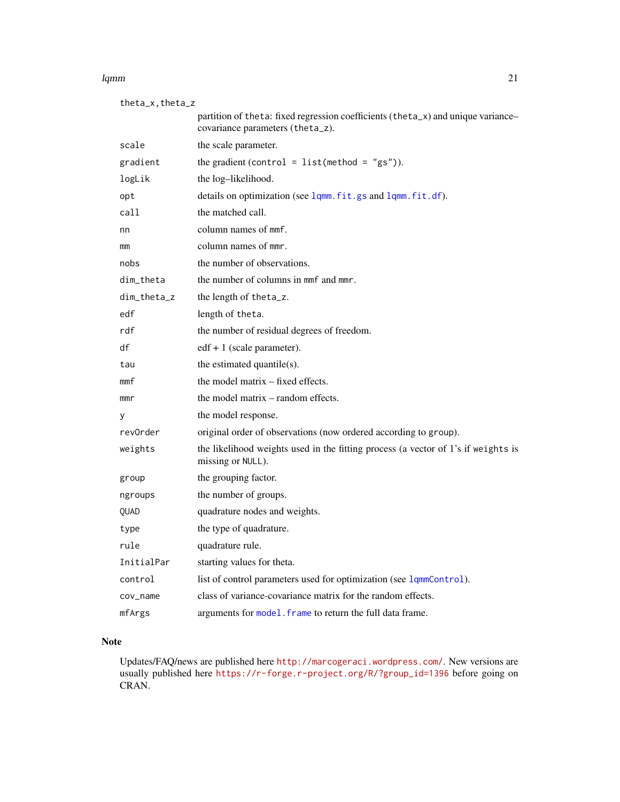#### <span id="page-20-0"></span>lqmm 21

| $theta_x, theta_z$ |                                                                                                                      |  |  |  |  |  |  |
|--------------------|----------------------------------------------------------------------------------------------------------------------|--|--|--|--|--|--|
|                    | partition of theta: fixed regression coefficients (theta_x) and unique variance-<br>covariance parameters (theta_z). |  |  |  |  |  |  |
| scale              | the scale parameter.                                                                                                 |  |  |  |  |  |  |
| gradient           | the gradient (control = $list(method = "gs"))$ .                                                                     |  |  |  |  |  |  |
| logLik             | the log-likelihood.                                                                                                  |  |  |  |  |  |  |
| opt                | details on optimization (see lqmm.fit.gs and lqmm.fit.df).                                                           |  |  |  |  |  |  |
| call               | the matched call.                                                                                                    |  |  |  |  |  |  |
| nn                 | column names of mmf.                                                                                                 |  |  |  |  |  |  |
| mm                 | column names of mmr.                                                                                                 |  |  |  |  |  |  |
| nobs               | the number of observations.                                                                                          |  |  |  |  |  |  |
| dim_theta          | the number of columns in mmf and mmr.                                                                                |  |  |  |  |  |  |
| dim_theta_z        | the length of theta_z.                                                                                               |  |  |  |  |  |  |
| edf                | length of theta.                                                                                                     |  |  |  |  |  |  |
| rdf                | the number of residual degrees of freedom.                                                                           |  |  |  |  |  |  |
| df                 | $edf + 1$ (scale parameter).                                                                                         |  |  |  |  |  |  |
| tau                | the estimated quantile(s).                                                                                           |  |  |  |  |  |  |
| mmf                | the model matrix – fixed effects.                                                                                    |  |  |  |  |  |  |
| mmr                | the model matrix – random effects.                                                                                   |  |  |  |  |  |  |
| у                  | the model response.                                                                                                  |  |  |  |  |  |  |
| revOrder           | original order of observations (now ordered according to group).                                                     |  |  |  |  |  |  |
| weights            | the likelihood weights used in the fitting process (a vector of 1's if weights is<br>missing or NULL).               |  |  |  |  |  |  |
| group              | the grouping factor.                                                                                                 |  |  |  |  |  |  |
| ngroups            | the number of groups.                                                                                                |  |  |  |  |  |  |
| QUAD               | quadrature nodes and weights.                                                                                        |  |  |  |  |  |  |
| type               | the type of quadrature.                                                                                              |  |  |  |  |  |  |
| rule               | quadrature rule.                                                                                                     |  |  |  |  |  |  |
| InitialPar         | starting values for theta.                                                                                           |  |  |  |  |  |  |
| control            | list of control parameters used for optimization (see lqmmControl).                                                  |  |  |  |  |  |  |
| cov_name           | class of variance-covariance matrix for the random effects.                                                          |  |  |  |  |  |  |
| mfArgs             | arguments for model. frame to return the full data frame.                                                            |  |  |  |  |  |  |

# Note

Updates/FAQ/news are published here <http://marcogeraci.wordpress.com/>. New versions are usually published here [https://r-forge.r-project.org/R/?group\\_id=1396](https://r-forge.r-project.org/R/?group_id=1396) before going on CRAN.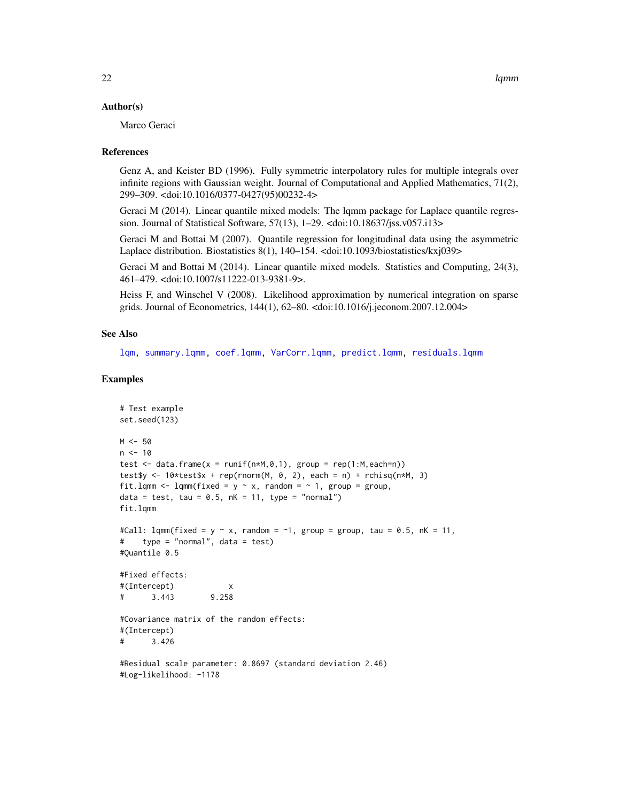#### <span id="page-21-0"></span>Author(s)

Marco Geraci

#### References

Genz A, and Keister BD (1996). Fully symmetric interpolatory rules for multiple integrals over infinite regions with Gaussian weight. Journal of Computational and Applied Mathematics, 71(2), 299–309. <doi:10.1016/0377-0427(95)00232-4>

Geraci M (2014). Linear quantile mixed models: The lqmm package for Laplace quantile regression. Journal of Statistical Software, 57(13), 1–29. <doi:10.18637/jss.v057.i13>

Geraci M and Bottai M (2007). Quantile regression for longitudinal data using the asymmetric Laplace distribution. Biostatistics 8(1), 140–154. <doi:10.1093/biostatistics/kxj039>

Geraci M and Bottai M (2014). Linear quantile mixed models. Statistics and Computing, 24(3), 461–479. <doi:10.1007/s11222-013-9381-9>.

Heiss F, and Winschel V (2008). Likelihood approximation by numerical integration on sparse grids. Journal of Econometrics, 144(1), 62–80. <doi:10.1016/j.jeconom.2007.12.004>

#### See Also

[lqm,](#page-11-1) [summary.lqmm,](#page-40-1) [coef.lqmm,](#page-5-2) [VarCorr.lqmm,](#page-41-1) [predict.lqmm,](#page-31-1) [residuals.lqmm](#page-36-2)

#### Examples

```
# Test example
set.seed(123)
M < -50n < -10test \leq data.frame(x = runif(n*M,0,1), group = rep(1:M,each=n))
test$y <- 10*test$x + rep(rnorm(M, 0, 2), each = n) + rchisq(n*M, 3)
fit.lqmm <- lqmm(fixed = y \sim x, random = \sim 1, group = group,
data = test, tau = 0.5, nK = 11, type = "normal")
fit.lqmm
#Call: lqmm(fixed = y \sim x, random = \sim1, group = group, tau = 0.5, nK = 11,
# type = "normal", data = test)
#Quantile 0.5
#Fixed effects:
#(Intercept) x
# 3.443 9.258
#Covariance matrix of the random effects:
#(Intercept)
# 3.426
#Residual scale parameter: 0.8697 (standard deviation 2.46)
#Log-likelihood: -1178
```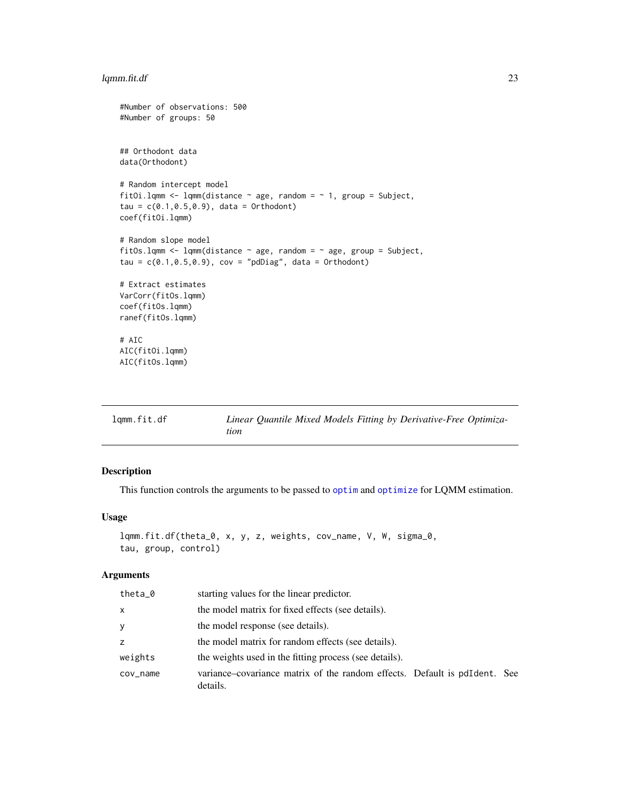# <span id="page-22-0"></span>lqmm.fit.df 23

```
#Number of observations: 500
#Number of groups: 50
## Orthodont data
data(Orthodont)
# Random intercept model
fitOi.lqmm <- lqmm(distance \sim age, random = \sim 1, group = Subject,
tau = c(0.1, 0.5, 0.9), data = Orthodont)
coef(fitOi.lqmm)
# Random slope model
fitOs.lqmm <- lqmm(distance \sim age, random = \sim age, group = Subject,
tau = c(0.1, 0.5, 0.9), cov = "pdDiag", data = Orthodont)
# Extract estimates
VarCorr(fitOs.lqmm)
coef(fitOs.lqmm)
ranef(fitOs.lqmm)
# AIC
AIC(fitOi.lqmm)
AIC(fitOs.lqmm)
```
<span id="page-22-1"></span>

| lqmm.fit.df |      |  |  | Linear Quantile Mixed Models Fitting by Derivative-Free Optimiza- |  |
|-------------|------|--|--|-------------------------------------------------------------------|--|
|             | tion |  |  |                                                                   |  |

# Description

This function controls the arguments to be passed to [optim](#page-0-0) and [optimize](#page-0-0) for LQMM estimation.

#### Usage

```
lqmm.fit.df(theta_0, x, y, z, weights, cov_name, V, W, sigma_0,
tau, group, control)
```
#### Arguments

| theta_0      | starting values for the linear predictor.                                               |
|--------------|-----------------------------------------------------------------------------------------|
| $\mathsf{x}$ | the model matrix for fixed effects (see details).                                       |
| y            | the model response (see details).                                                       |
| z            | the model matrix for random effects (see details).                                      |
| weights      | the weights used in the fitting process (see details).                                  |
| cov_name     | variance–covariance matrix of the random effects. Default is polletent. See<br>details. |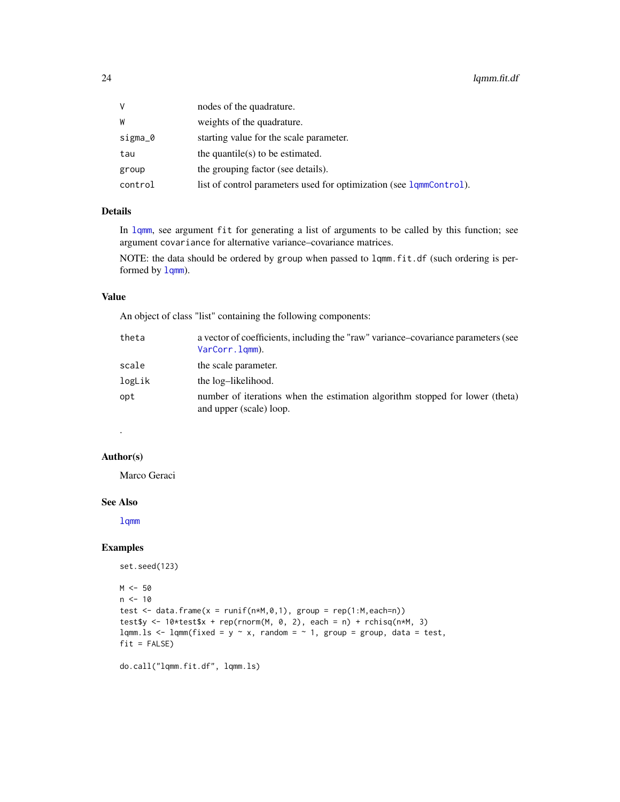<span id="page-23-0"></span>

| V       | nodes of the quadrature.                                            |
|---------|---------------------------------------------------------------------|
| W       | weights of the quadrature.                                          |
| sigma_0 | starting value for the scale parameter.                             |
| tau     | the quantile(s) to be estimated.                                    |
| group   | the grouping factor (see details).                                  |
| control | list of control parameters used for optimization (see 1qmmControl). |

# Details

In [lqmm](#page-18-1), see argument fit for generating a list of arguments to be called by this function; see argument covariance for alternative variance–covariance matrices.

NOTE: the data should be ordered by group when passed to lqmm.fit.df (such ordering is performed by  $lqmm$ ).

#### Value

An object of class "list" containing the following components:

| theta  | a vector of coefficients, including the "raw" variance-covariance parameters (see<br>VarCorr.lqmm).     |
|--------|---------------------------------------------------------------------------------------------------------|
| scale  | the scale parameter.                                                                                    |
| logLik | the log-likelihood.                                                                                     |
| opt    | number of iterations when the estimation algorithm stopped for lower (theta)<br>and upper (scale) loop. |

#### Author(s)

.

Marco Geraci

#### See Also

[lqmm](#page-18-1)

#### Examples

```
set.seed(123)
M < -50n < -10test \leq data.frame(x = runif(n*M,0,1), group = rep(1:M,each=n))
test$y <- 10*test$x + rep(rnorm(M, 0, 2), each = n) + rchisq(n*M, 3)
lqmm.ls \leq lqmm(fixed = y \sim x, random = \sim 1, group = group, data = test,
fit = FALSE)
```
do.call("lqmm.fit.df", lqmm.ls)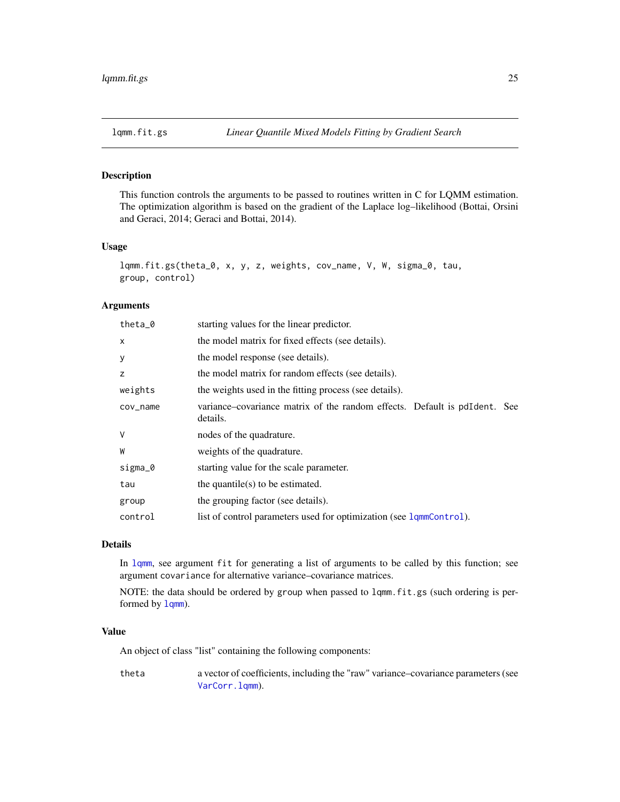<span id="page-24-1"></span><span id="page-24-0"></span>This function controls the arguments to be passed to routines written in C for LQMM estimation. The optimization algorithm is based on the gradient of the Laplace log–likelihood (Bottai, Orsini and Geraci, 2014; Geraci and Bottai, 2014).

# Usage

```
lqmm.fit.gs(theta_0, x, y, z, weights, cov_name, V, W, sigma_0, tau,
group, control)
```
#### Arguments

| theta $_0$ | starting values for the linear predictor.                                               |
|------------|-----------------------------------------------------------------------------------------|
| X          | the model matrix for fixed effects (see details).                                       |
| У          | the model response (see details).                                                       |
| z          | the model matrix for random effects (see details).                                      |
| weights    | the weights used in the fitting process (see details).                                  |
| $cov_name$ | variance–covariance matrix of the random effects. Default is polletent. See<br>details. |
| V          | nodes of the quadrature.                                                                |
| W          | weights of the quadrature.                                                              |
| sigma_0    | starting value for the scale parameter.                                                 |
| tau        | the quantile(s) to be estimated.                                                        |
| group      | the grouping factor (see details).                                                      |
| control    | list of control parameters used for optimization (see lqmmControl).                     |

# Details

In [lqmm](#page-18-1), see argument fit for generating a list of arguments to be called by this function; see argument covariance for alternative variance–covariance matrices.

NOTE: the data should be ordered by group when passed to lqmm.fit.gs (such ordering is performed by  $lqmm$ ).

#### Value

An object of class "list" containing the following components:

theta a vector of coefficients, including the "raw" variance–covariance parameters (see [VarCorr.lqmm](#page-41-1)).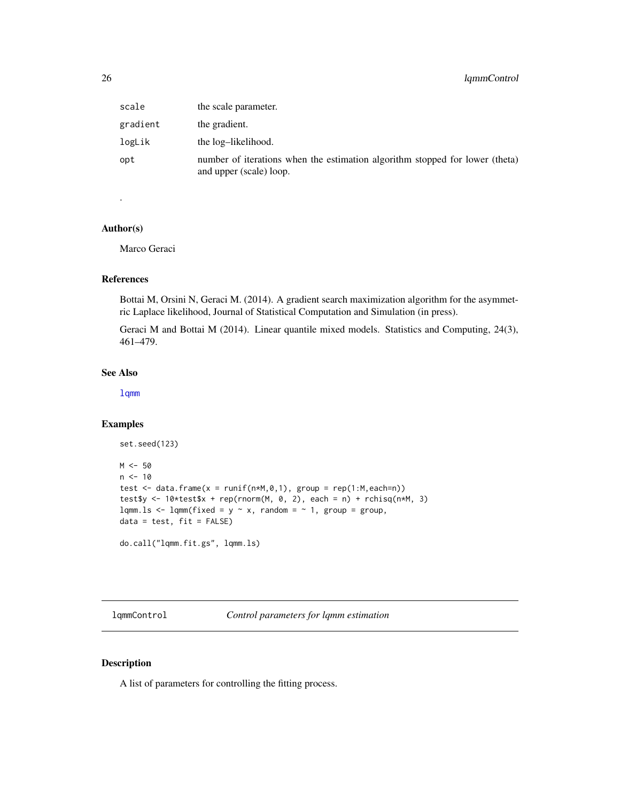# <span id="page-25-0"></span>26 lqmmControl

| scale    | the scale parameter.                                                                                    |
|----------|---------------------------------------------------------------------------------------------------------|
| gradient | the gradient.                                                                                           |
| logLik   | the log-likelihood.                                                                                     |
| opt      | number of iterations when the estimation algorithm stopped for lower (theta)<br>and upper (scale) loop. |

# Author(s)

.

Marco Geraci

#### References

Bottai M, Orsini N, Geraci M. (2014). A gradient search maximization algorithm for the asymmetric Laplace likelihood, Journal of Statistical Computation and Simulation (in press).

Geraci M and Bottai M (2014). Linear quantile mixed models. Statistics and Computing, 24(3), 461–479.

# See Also

[lqmm](#page-18-1)

# Examples

```
set.seed(123)
M < -50n < -10test \leq data.frame(x = runif(n*M,0,1), group = rep(1:M,each=n))
test$y <- 10*test$x + rep(rnorm(M, 0, 2), each = n) + rchisq(n*M, 3)
lqmm.ls \leq lqmm(fixed = y \sim x, random = \sim 1, group = group,
data = test, fit = FALSE)do.call("lqmm.fit.gs", lqmm.ls)
```
<span id="page-25-1"></span>lqmmControl *Control parameters for lqmm estimation*

# Description

A list of parameters for controlling the fitting process.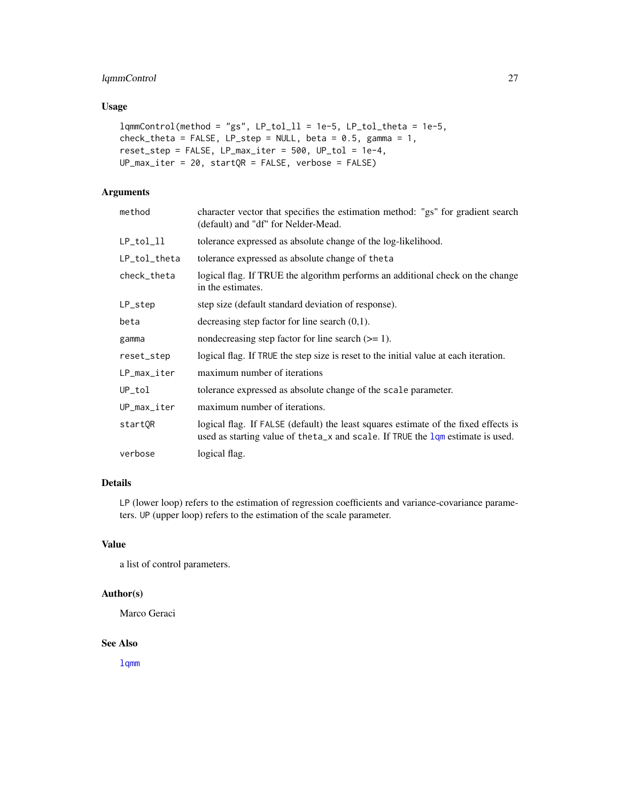# <span id="page-26-0"></span>lqmmControl 27

# Usage

```
lqmmControl(method = "gs", LP\_tol_l1 = 1e-5, LP\_tol_theta = 1e-5,check_theta = FALSE, LP_step = NULL, beta = 0.5, gamma = 1,
reset\_step = FALSE, LP_max\_iter = 500, UP\_tol = 1e-4,UP_{\text{max}\_iter} = 20, startQR = FALSE, verbose = FALSE)
```
# Arguments

| method        | character vector that specifies the estimation method: "gs" for gradient search<br>(default) and "df" for Nelder-Mead.                                                 |
|---------------|------------------------------------------------------------------------------------------------------------------------------------------------------------------------|
| $LP\_tol\_ll$ | tolerance expressed as absolute change of the log-likelihood.                                                                                                          |
| LP_tol_theta  | tolerance expressed as absolute change of the ta                                                                                                                       |
| check_theta   | logical flag. If TRUE the algorithm performs an additional check on the change<br>in the estimates.                                                                    |
| LP_step       | step size (default standard deviation of response).                                                                                                                    |
| beta          | decreasing step factor for line search $(0,1)$ .                                                                                                                       |
| gamma         | nondecreasing step factor for line search $(>= 1)$ .                                                                                                                   |
| reset_step    | logical flag. If TRUE the step size is reset to the initial value at each iteration.                                                                                   |
| LP_max_iter   | maximum number of iterations                                                                                                                                           |
| UP_tol        | tolerance expressed as absolute change of the scale parameter.                                                                                                         |
| UP_max_iter   | maximum number of iterations.                                                                                                                                          |
| startQR       | logical flag. If FALSE (default) the least squares estimate of the fixed effects is<br>used as starting value of the ta_x and scale. If TRUE the 1qm estimate is used. |
| verbose       | logical flag.                                                                                                                                                          |

# Details

LP (lower loop) refers to the estimation of regression coefficients and variance-covariance parameters. UP (upper loop) refers to the estimation of the scale parameter.

# Value

a list of control parameters.

### Author(s)

Marco Geraci

#### See Also

[lqmm](#page-18-1)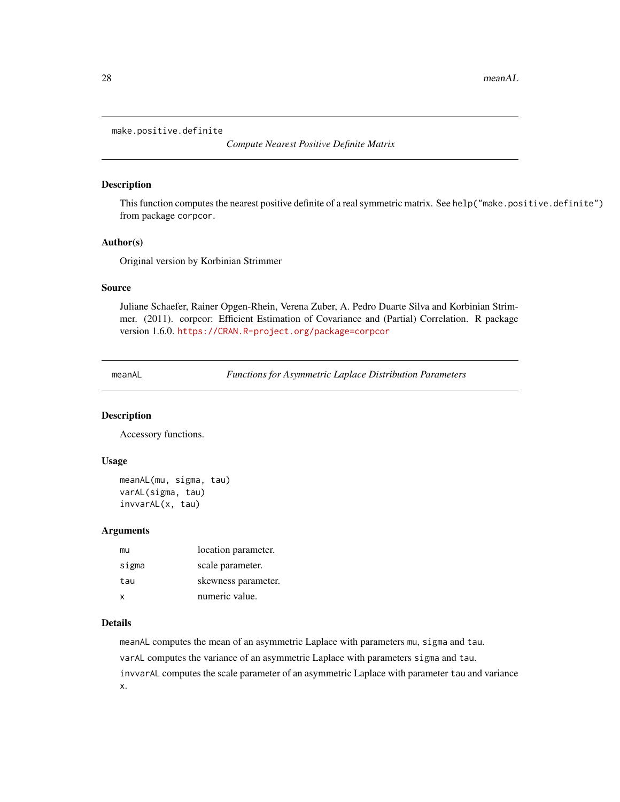#### <span id="page-27-0"></span>make.positive.definite

*Compute Nearest Positive Definite Matrix*

# Description

This function computes the nearest positive definite of a real symmetric matrix. See help("make.positive.definite") from package corpcor.

#### Author(s)

Original version by Korbinian Strimmer

#### Source

Juliane Schaefer, Rainer Opgen-Rhein, Verena Zuber, A. Pedro Duarte Silva and Korbinian Strimmer. (2011). corpcor: Efficient Estimation of Covariance and (Partial) Correlation. R package version 1.6.0. <https://CRAN.R-project.org/package=corpcor>

<span id="page-27-1"></span>meanAL *Functions for Asymmetric Laplace Distribution Parameters*

#### Description

Accessory functions.

#### Usage

meanAL(mu, sigma, tau) varAL(sigma, tau) invvarAL(x, tau)

#### Arguments

| mu    | location parameter. |
|-------|---------------------|
| sigma | scale parameter.    |
| tau   | skewness parameter. |
| x     | numeric value.      |

#### Details

meanAL computes the mean of an asymmetric Laplace with parameters mu, sigma and tau. varAL computes the variance of an asymmetric Laplace with parameters sigma and tau. invvarAL computes the scale parameter of an asymmetric Laplace with parameter tau and variance x.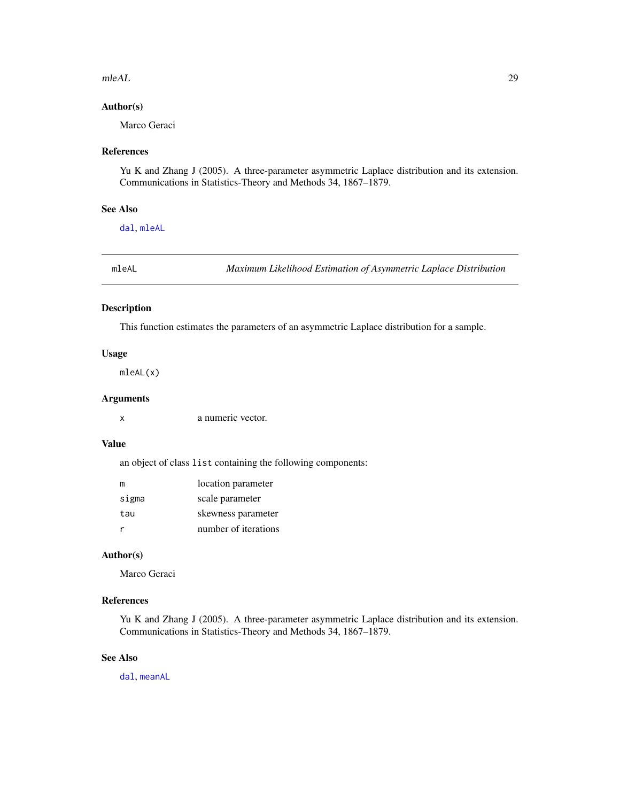#### <span id="page-28-0"></span> $mleAL$  29

# Author(s)

Marco Geraci

# References

Yu K and Zhang J (2005). A three-parameter asymmetric Laplace distribution and its extension. Communications in Statistics-Theory and Methods 34, 1867–1879.

# See Also

[dal](#page-6-1), [mleAL](#page-28-1)

<span id="page-28-1"></span>mleAL *Maximum Likelihood Estimation of Asymmetric Laplace Distribution*

# Description

This function estimates the parameters of an asymmetric Laplace distribution for a sample.

#### Usage

mleAL(x)

#### Arguments

x a numeric vector.

#### Value

an object of class list containing the following components:

| m     | location parameter   |
|-------|----------------------|
| sigma | scale parameter      |
| tau   | skewness parameter   |
|       | number of iterations |

# Author(s)

Marco Geraci

# References

Yu K and Zhang J (2005). A three-parameter asymmetric Laplace distribution and its extension. Communications in Statistics-Theory and Methods 34, 1867–1879.

# See Also

[dal](#page-6-1), [meanAL](#page-27-1)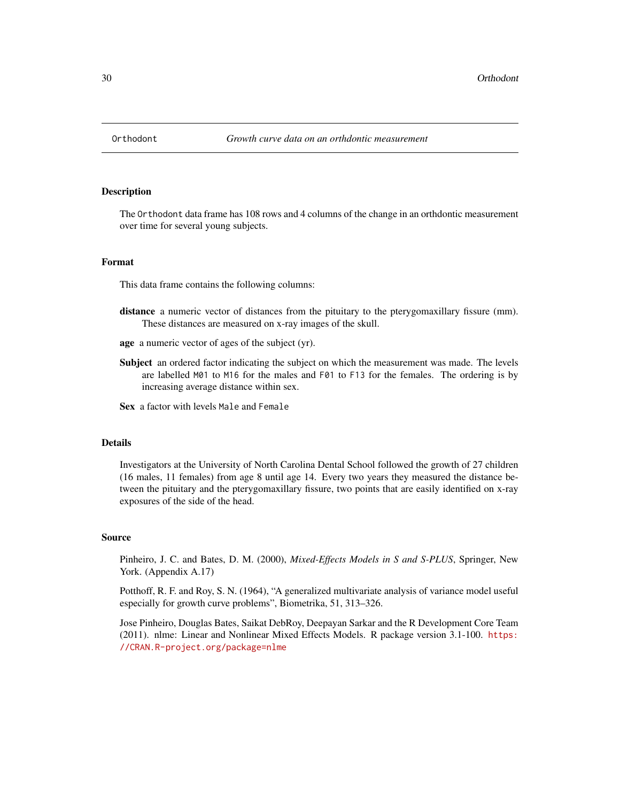<span id="page-29-0"></span>

The Orthodont data frame has 108 rows and 4 columns of the change in an orthdontic measurement over time for several young subjects.

# Format

This data frame contains the following columns:

- distance a numeric vector of distances from the pituitary to the pterygomaxillary fissure (mm). These distances are measured on x-ray images of the skull.
- age a numeric vector of ages of the subject (yr).
- Subject an ordered factor indicating the subject on which the measurement was made. The levels are labelled M01 to M16 for the males and F01 to F13 for the females. The ordering is by increasing average distance within sex.
- Sex a factor with levels Male and Female

#### Details

Investigators at the University of North Carolina Dental School followed the growth of 27 children (16 males, 11 females) from age 8 until age 14. Every two years they measured the distance between the pituitary and the pterygomaxillary fissure, two points that are easily identified on x-ray exposures of the side of the head.

#### Source

Pinheiro, J. C. and Bates, D. M. (2000), *Mixed-Effects Models in S and S-PLUS*, Springer, New York. (Appendix A.17)

Potthoff, R. F. and Roy, S. N. (1964), "A generalized multivariate analysis of variance model useful especially for growth curve problems", Biometrika, 51, 313–326.

Jose Pinheiro, Douglas Bates, Saikat DebRoy, Deepayan Sarkar and the R Development Core Team (2011). nlme: Linear and Nonlinear Mixed Effects Models. R package version 3.1-100. [https:](https://CRAN.R-project.org/package=nlme) [//CRAN.R-project.org/package=nlme](https://CRAN.R-project.org/package=nlme)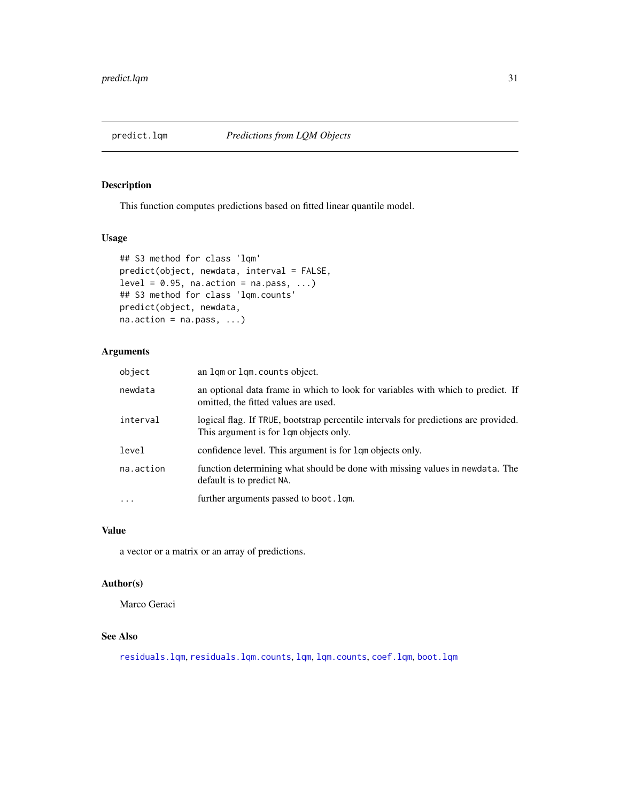<span id="page-30-1"></span><span id="page-30-0"></span>

This function computes predictions based on fitted linear quantile model.

#### Usage

```
## S3 method for class 'lqm'
predict(object, newdata, interval = FALSE,
level = 0.95, na.action = na.pass, ...)
## S3 method for class 'lqm.counts'
predict(object, newdata,
na. action = na. pass, ...
```
# Arguments

| object    | an lqm or lqm.counts object.                                                                                                  |
|-----------|-------------------------------------------------------------------------------------------------------------------------------|
| newdata   | an optional data frame in which to look for variables with which to predict. If<br>omitted, the fitted values are used.       |
| interval  | logical flag. If TRUE, bootstrap percentile intervals for predictions are provided.<br>This argument is for 1qm objects only. |
| level     | confidence level. This argument is for 1 qm objects only.                                                                     |
| na.action | function determining what should be done with missing values in newdata. The<br>default is to predict NA.                     |
| $\ddots$  | further arguments passed to boot. 1qm.                                                                                        |
|           |                                                                                                                               |

# Value

a vector or a matrix or an array of predictions.

# Author(s)

Marco Geraci

# See Also

[residuals.lqm](#page-36-1), [residuals.lqm.counts](#page-36-3), [lqm](#page-11-1), [lqm.counts](#page-13-1), [coef.lqm](#page-4-1), [boot.lqm](#page-2-1)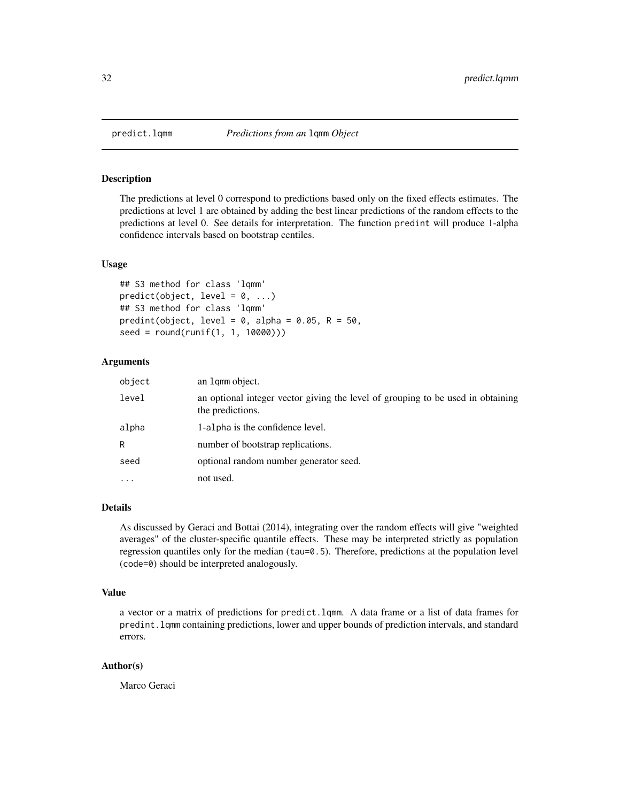The predictions at level 0 correspond to predictions based only on the fixed effects estimates. The predictions at level 1 are obtained by adding the best linear predictions of the random effects to the predictions at level 0. See details for interpretation. The function predint will produce 1-alpha confidence intervals based on bootstrap centiles.

#### Usage

```
## S3 method for class 'lqmm'
predict(object, level = 0, ...)## S3 method for class 'lqmm'
predint(object, level = 0, alpha = 0.05, R = 50,
seed = round(runif(1, 1, 10000)))
```
# Arguments

| object | an 1 qmm object.                                                                                    |
|--------|-----------------------------------------------------------------------------------------------------|
| level  | an optional integer vector giving the level of grouping to be used in obtaining<br>the predictions. |
| alpha  | 1-alpha is the confidence level.                                                                    |
| R      | number of bootstrap replications.                                                                   |
| seed   | optional random number generator seed.                                                              |
| .      | not used.                                                                                           |

#### Details

As discussed by Geraci and Bottai (2014), integrating over the random effects will give "weighted averages" of the cluster-specific quantile effects. These may be interpreted strictly as population regression quantiles only for the median (tau=0.5). Therefore, predictions at the population level (code=0) should be interpreted analogously.

#### Value

a vector or a matrix of predictions for predict.lqmm. A data frame or a list of data frames for predint.lqmm containing predictions, lower and upper bounds of prediction intervals, and standard errors.

#### Author(s)

Marco Geraci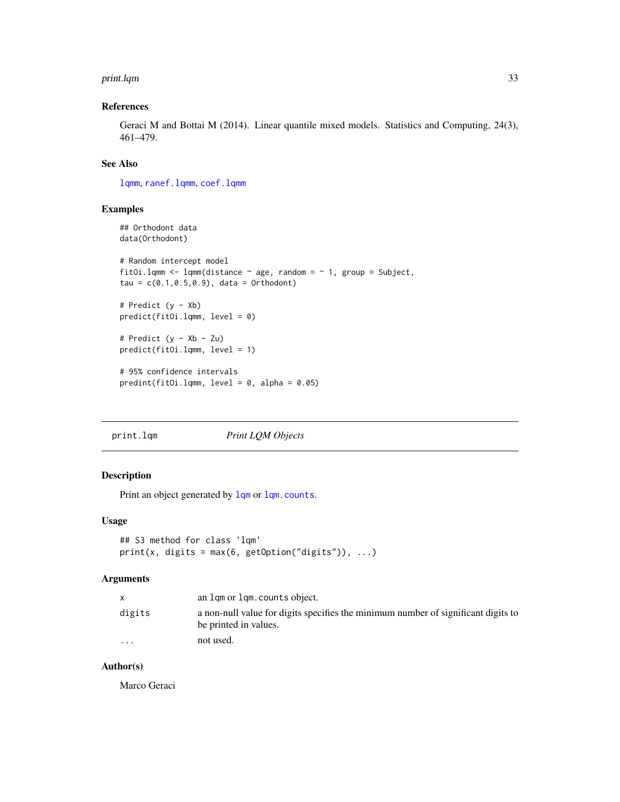#### <span id="page-32-0"></span>print.lqm 33

# References

Geraci M and Bottai M (2014). Linear quantile mixed models. Statistics and Computing, 24(3), 461–479.

# See Also

[lqmm](#page-18-1), [ranef.lqmm](#page-35-1), [coef.lqmm](#page-5-2)

# Examples

```
## Orthodont data
data(Orthodont)
# Random intercept model
fitOi.lqmm <- lqmm(distance \sim age, random = \sim 1, group = Subject,
tau = c(0.1, 0.5, 0.9), data = Orthodont)
# Predict (y - Xb)
predict(fitOi.lqmm, level = 0)
# Predict (y - Xb - Zu)
predict(fitOi.lqmm, level = 1)
# 95% confidence intervals
predint(fitOi.lqmm, level = 0, alpha = 0.05)
```
print.lqm *Print LQM Objects*

# Description

Print an object generated by [lqm](#page-11-1) or [lqm.counts](#page-13-1).

#### Usage

```
## S3 method for class 'lqm'
print(x, \text{ digits} = max(6, \text{ getOption("digits"))}, ...)
```
# Arguments

|                      | an lgm or lgm.counts object.                                                                               |
|----------------------|------------------------------------------------------------------------------------------------------------|
| digits               | a non-null value for digits specifies the minimum number of significant digits to<br>be printed in values. |
| $\ddot{\phantom{0}}$ | not used.                                                                                                  |

#### Author(s)

Marco Geraci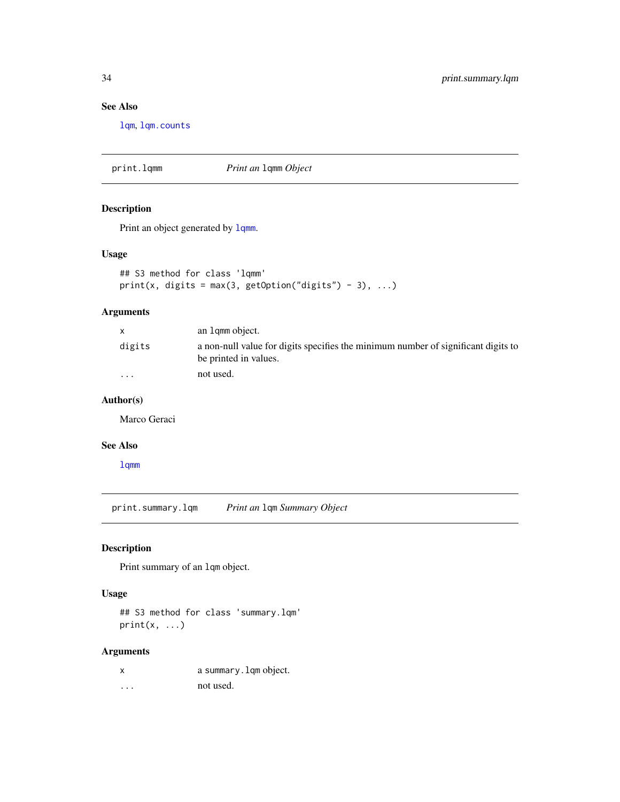# See Also

[lqm](#page-11-1), [lqm.counts](#page-13-1)

print.lqmm *Print an* lqmm *Object*

# Description

Print an object generated by  $lqmm$ .

# Usage

```
## S3 method for class 'lqmm'
print(x, digits = max(3, getOption("digits") - 3), ...)
```
# Arguments

|                         | an 1 qmm object.                                                                                           |
|-------------------------|------------------------------------------------------------------------------------------------------------|
| digits                  | a non-null value for digits specifies the minimum number of significant digits to<br>be printed in values. |
| $\cdot$ $\cdot$ $\cdot$ | not used.                                                                                                  |

# Author(s)

Marco Geraci

# See Also

[lqmm](#page-18-1)

<span id="page-33-1"></span>print.summary.lqm *Print an* lqm *Summary Object*

# Description

Print summary of an lqm object.

#### Usage

## S3 method for class 'summary.lqm'  $print(x, \ldots)$ 

# Arguments

| X | a summary. lqm object. |
|---|------------------------|
| . | not used.              |

<span id="page-33-0"></span>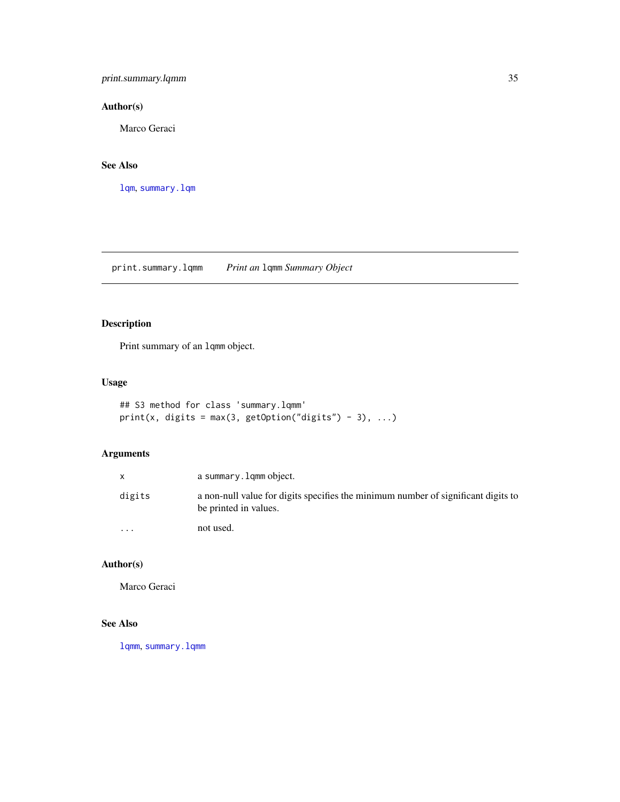# <span id="page-34-0"></span>print.summary.lqmm 35

# Author(s)

Marco Geraci

# See Also

[lqm](#page-11-1), [summary.lqm](#page-39-1)

<span id="page-34-1"></span>print.summary.lqmm *Print an* lqmm *Summary Object*

# Description

Print summary of an lqmm object.

# Usage

```
## S3 method for class 'summary.lqmm'
print(x, digits = max(3, getOption("digits") - 3), ...)
```
# Arguments

|                      | a summary. lgmm object.                                                                                    |
|----------------------|------------------------------------------------------------------------------------------------------------|
| digits               | a non-null value for digits specifies the minimum number of significant digits to<br>be printed in values. |
| $\ddot{\phantom{0}}$ | not used.                                                                                                  |

# Author(s)

Marco Geraci

# See Also

[lqmm](#page-18-1), [summary.lqmm](#page-40-1)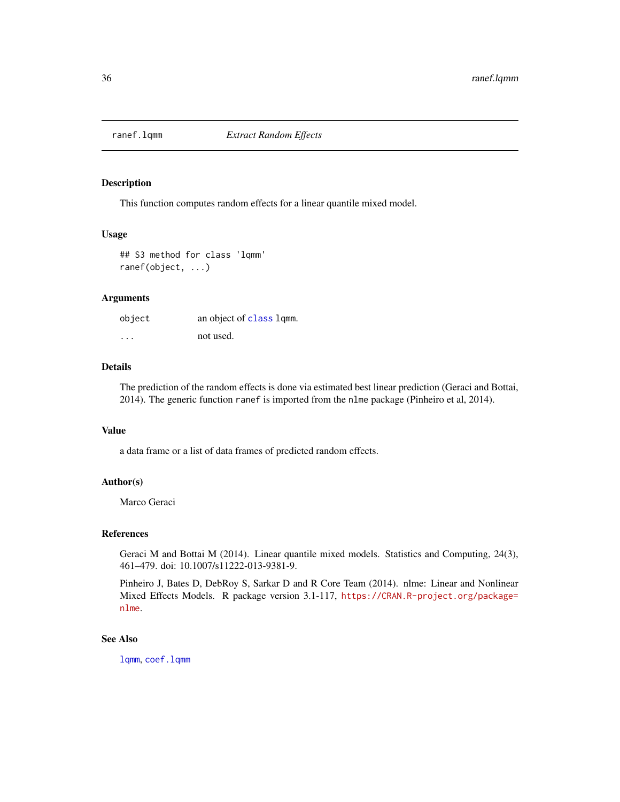<span id="page-35-1"></span><span id="page-35-0"></span>

This function computes random effects for a linear quantile mixed model.

#### Usage

## S3 method for class 'lqmm' ranef(object, ...)

#### Arguments

| object   | an object of class lqmm. |
|----------|--------------------------|
| $\cdots$ | not used.                |

# Details

The prediction of the random effects is done via estimated best linear prediction (Geraci and Bottai, 2014). The generic function ranef is imported from the nlme package (Pinheiro et al, 2014).

#### Value

a data frame or a list of data frames of predicted random effects.

# Author(s)

Marco Geraci

#### References

Geraci M and Bottai M (2014). Linear quantile mixed models. Statistics and Computing, 24(3), 461–479. doi: 10.1007/s11222-013-9381-9.

Pinheiro J, Bates D, DebRoy S, Sarkar D and R Core Team (2014). nlme: Linear and Nonlinear Mixed Effects Models. R package version 3.1-117, [https://CRAN.R-project.org/package=](https://CRAN.R-project.org/package=nlme) [nlme](https://CRAN.R-project.org/package=nlme).

#### See Also

[lqmm](#page-18-1), [coef.lqmm](#page-5-2)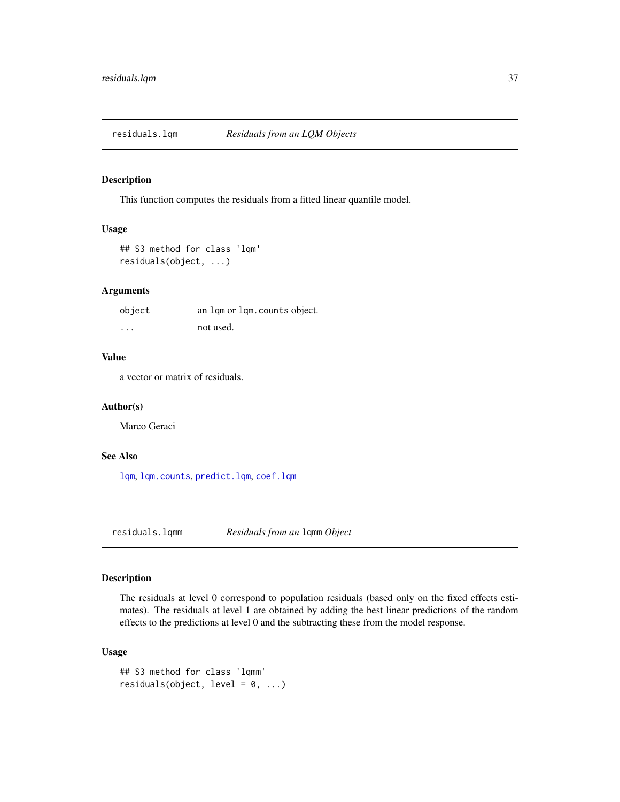<span id="page-36-3"></span><span id="page-36-1"></span><span id="page-36-0"></span>

This function computes the residuals from a fitted linear quantile model.

# Usage

```
## S3 method for class 'lqm'
residuals(object, ...)
```
# Arguments

| object  | an lgm or lgm. counts object. |
|---------|-------------------------------|
| $\cdot$ | not used.                     |

# Value

a vector or matrix of residuals.

#### Author(s)

Marco Geraci

# See Also

[lqm](#page-11-1), [lqm.counts](#page-13-1), [predict.lqm](#page-30-1), [coef.lqm](#page-4-1)

<span id="page-36-2"></span>residuals.lqmm *Residuals from an* lqmm *Object*

# Description

The residuals at level 0 correspond to population residuals (based only on the fixed effects estimates). The residuals at level 1 are obtained by adding the best linear predictions of the random effects to the predictions at level 0 and the subtracting these from the model response.

# Usage

```
## S3 method for class 'lqmm'
residuals(object, level = 0, ...)
```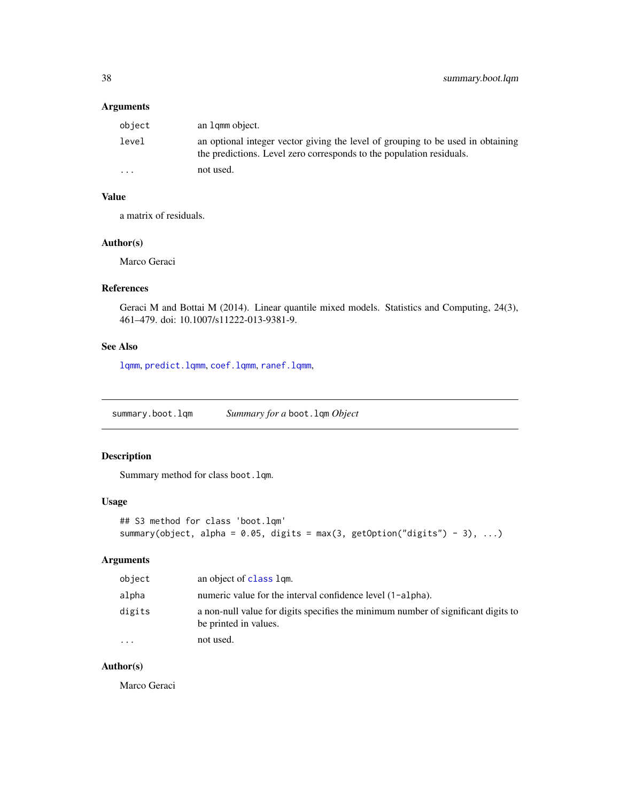# <span id="page-37-0"></span>Arguments

| object   | an 1 qmm object.                                                                                                                                        |
|----------|---------------------------------------------------------------------------------------------------------------------------------------------------------|
| level    | an optional integer vector giving the level of grouping to be used in obtaining<br>the predictions. Level zero corresponds to the population residuals. |
| $\cdots$ | not used.                                                                                                                                               |

# Value

a matrix of residuals.

#### Author(s)

Marco Geraci

#### References

Geraci M and Bottai M (2014). Linear quantile mixed models. Statistics and Computing, 24(3), 461–479. doi: 10.1007/s11222-013-9381-9.

# See Also

[lqmm](#page-18-1), [predict.lqmm](#page-31-1), [coef.lqmm](#page-5-2), [ranef.lqmm](#page-35-1),

summary.boot.lqm *Summary for a* boot.lqm *Object*

# Description

Summary method for class boot.lqm.

#### Usage

```
## S3 method for class 'boot.lqm'
summary(object, alpha = 0.05, digits = max(3, getOption("digits") - 3), ...)
```
# Arguments

| object    | an object of class lgm.                                                                                    |
|-----------|------------------------------------------------------------------------------------------------------------|
| alpha     | numeric value for the interval confidence level (1-alpha).                                                 |
| digits    | a non-null value for digits specifies the minimum number of significant digits to<br>be printed in values. |
| $\ddotsc$ | not used.                                                                                                  |

# Author(s)

Marco Geraci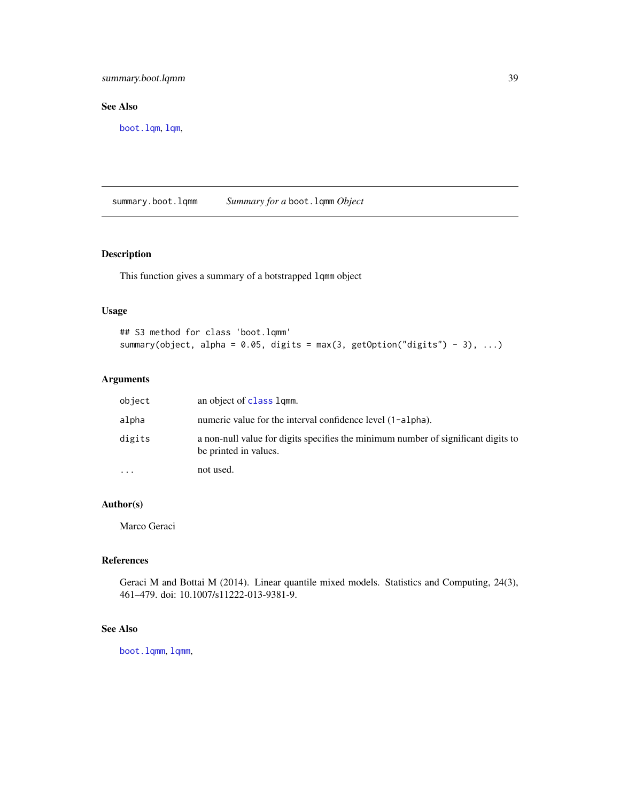<span id="page-38-0"></span>summary.boot.lqmm 39

# See Also

[boot.lqm](#page-2-1), [lqm](#page-11-1),

summary.boot.lqmm *Summary for a* boot.lqmm *Object*

# Description

This function gives a summary of a botstrapped lqmm object

#### Usage

```
## S3 method for class 'boot.lqmm'
summary(object, alpha = 0.05, digits = max(3, getOption("digits") - 3), ...)
```
# Arguments

| object    | an object of class lqmm.                                                                                   |
|-----------|------------------------------------------------------------------------------------------------------------|
| alpha     | numeric value for the interval confidence level (1-alpha).                                                 |
| digits    | a non-null value for digits specifies the minimum number of significant digits to<br>be printed in values. |
| $\ddotsc$ | not used.                                                                                                  |

#### Author(s)

Marco Geraci

# References

Geraci M and Bottai M (2014). Linear quantile mixed models. Statistics and Computing, 24(3), 461–479. doi: 10.1007/s11222-013-9381-9.

# See Also

[boot.lqmm](#page-2-1), [lqmm](#page-18-1),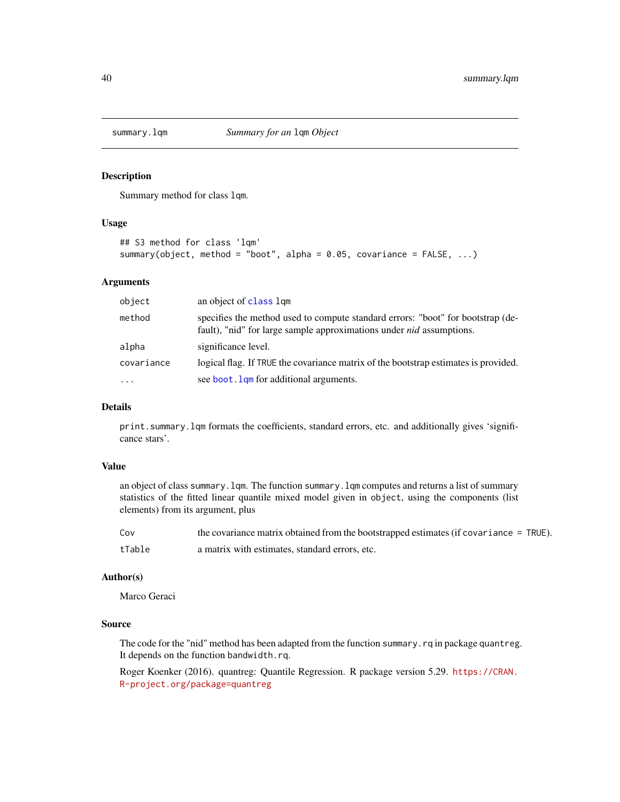<span id="page-39-1"></span><span id="page-39-0"></span>

Summary method for class lqm.

# Usage

```
## S3 method for class 'lqm'
summary(object, method = "boot", alpha = 0.05, covariance = FALSE, ...)
```
#### Arguments

| object     | an object of class lgm                                                                                                                                         |
|------------|----------------------------------------------------------------------------------------------------------------------------------------------------------------|
| method     | specifies the method used to compute standard errors: "boot" for bootstrap (de-<br>fault), "nid" for large sample approximations under <i>nid</i> assumptions. |
| alpha      | significance level.                                                                                                                                            |
| covariance | logical flag. If TRUE the covariance matrix of the bootstrap estimates is provided.                                                                            |
| $\cdots$   | see boot. Lam for additional arguments.                                                                                                                        |

# Details

print.summary.lqm formats the coefficients, standard errors, etc. and additionally gives 'significance stars'.

#### Value

an object of class summary.lqm. The function summary.lqm computes and returns a list of summary statistics of the fitted linear quantile mixed model given in object, using the components (list elements) from its argument, plus

| Cov    | the covariance matrix obtained from the bootstrapped estimates (if covariance $=$ TRUE). |
|--------|------------------------------------------------------------------------------------------|
| tTable | a matrix with estimates, standard errors, etc.                                           |

#### Author(s)

Marco Geraci

# Source

The code for the "nid" method has been adapted from the function summary. rq in package quantreg. It depends on the function bandwidth.rq.

Roger Koenker (2016). quantreg: Quantile Regression. R package version 5.29. [https://CRAN.](https://CRAN.R-project.org/package=quantreg) [R-project.org/package=quantreg](https://CRAN.R-project.org/package=quantreg)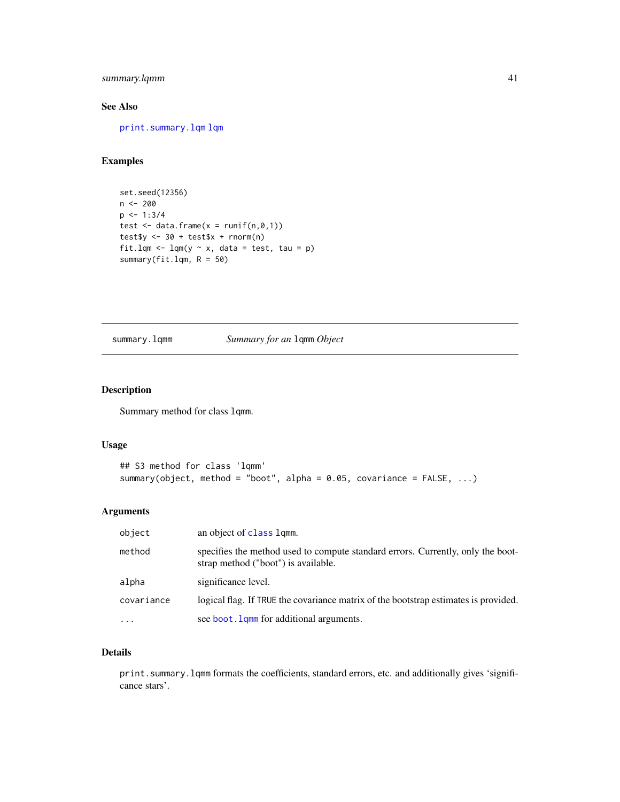# <span id="page-40-0"></span>summary.lqmm 41

# See Also

[print.summary.lqm](#page-33-1) [lqm](#page-11-1)

# Examples

```
set.seed(12356)
n <- 200
p \le -1:3/4test \leq data.frame(x = runif(n,0,1))
test\ <- 30 + test\ + rnorm(n)fit.lqm \leq lqm(y \sim x, data = test, tau = p)
summary(fit.lqm, R = 50)
```
# <span id="page-40-1"></span>summary.lqmm *Summary for an* lqmm *Object*

# Description

Summary method for class lqmm.

# Usage

```
## S3 method for class 'lqmm'
summary(object, method = "boot", alpha = 0.05, covariance = FALSE, ...)
```
# Arguments

| object     | an object of class lgmm.                                                                                               |
|------------|------------------------------------------------------------------------------------------------------------------------|
| method     | specifies the method used to compute standard errors. Currently, only the boot-<br>strap method ("boot") is available. |
| alpha      | significance level.                                                                                                    |
| covariance | logical flag. If TRUE the covariance matrix of the bootstrap estimates is provided.                                    |
| $\ddotsc$  | see boot. Lamm for additional arguments.                                                                               |

#### Details

print.summary.lqmm formats the coefficients, standard errors, etc. and additionally gives 'significance stars'.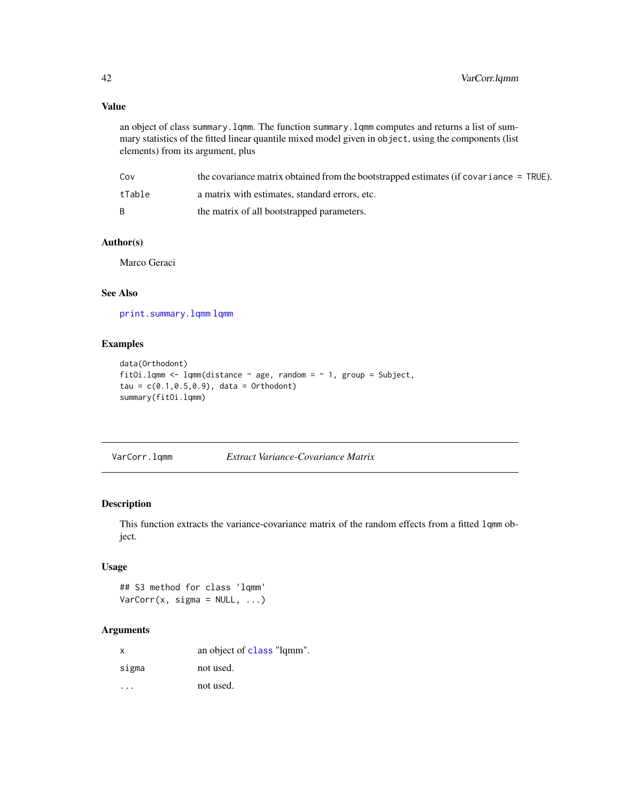# <span id="page-41-0"></span>Value

an object of class summary.lqmm. The function summary.lqmm computes and returns a list of summary statistics of the fitted linear quantile mixed model given in object, using the components (list elements) from its argument, plus

| Cov    | the covariance matrix obtained from the bootstrapped estimates (if covariance = TRUE). |
|--------|----------------------------------------------------------------------------------------|
| tTable | a matrix with estimates, standard errors, etc.                                         |
| B.     | the matrix of all bootstrapped parameters.                                             |

# Author(s)

Marco Geraci

# See Also

[print.summary.lqmm](#page-34-1) [lqmm](#page-18-1)

# Examples

```
data(Orthodont)
fitOi.lqmm <- lqmm(distance \sim age, random = \sim 1, group = Subject,
tau = c(0.1, 0.5, 0.9), data = Orthodont)
summary(fitOi.lqmm)
```
<span id="page-41-1"></span>VarCorr.lqmm *Extract Variance-Covariance Matrix*

#### Description

This function extracts the variance-covariance matrix of the random effects from a fitted lqmm object.

# Usage

```
## S3 method for class 'lqmm'
VarCorr(x, sigma = NULL, ...)
```
# Arguments

| $\times$ | an object of class "lqmm". |
|----------|----------------------------|
| sigma    | not used.                  |
|          | not used.                  |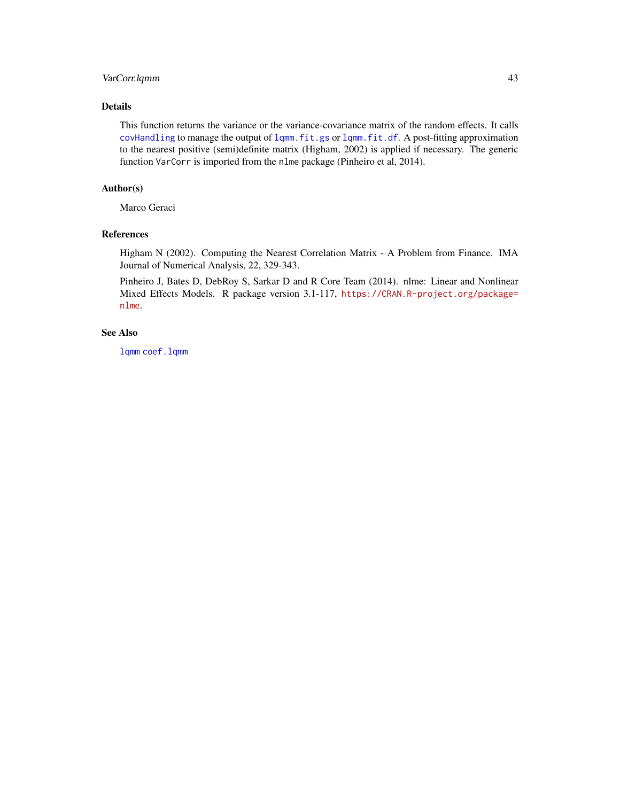# <span id="page-42-0"></span>VarCorr.lqmm 43

# Details

This function returns the variance or the variance-covariance matrix of the random effects. It calls [covHandling](#page-5-1) to manage the output of [lqmm.fit.gs](#page-24-1) or [lqmm.fit.df](#page-22-1). A post-fitting approximation to the nearest positive (semi)definite matrix (Higham, 2002) is applied if necessary. The generic function VarCorr is imported from the nlme package (Pinheiro et al, 2014).

# Author(s)

Marco Geraci

# References

Higham N (2002). Computing the Nearest Correlation Matrix - A Problem from Finance. IMA Journal of Numerical Analysis, 22, 329-343.

Pinheiro J, Bates D, DebRoy S, Sarkar D and R Core Team (2014). nlme: Linear and Nonlinear Mixed Effects Models. R package version 3.1-117, [https://CRAN.R-project.org/package=](https://CRAN.R-project.org/package=nlme) [nlme](https://CRAN.R-project.org/package=nlme).

# See Also

[lqmm](#page-18-1) [coef.lqmm](#page-5-2)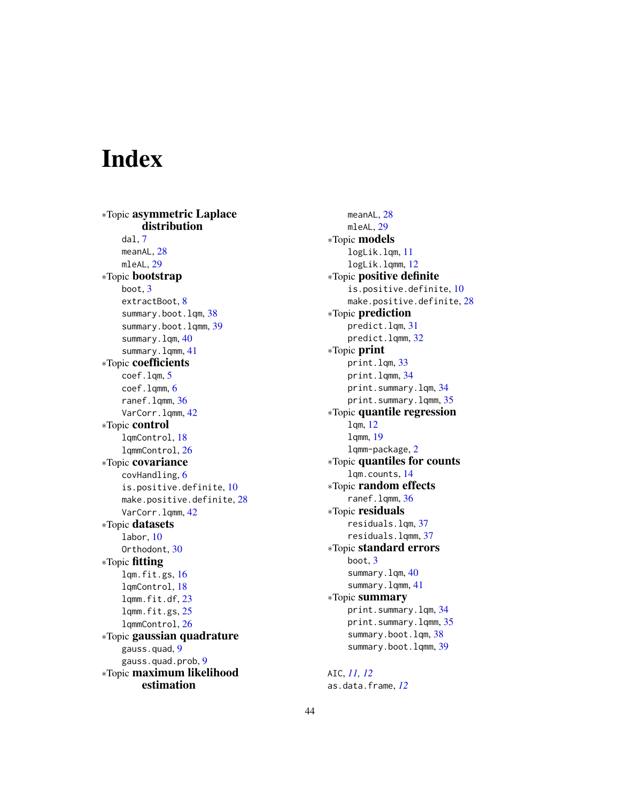# <span id="page-43-0"></span>Index

∗Topic asymmetric Laplace distribution dal, [7](#page-6-0) meanAL, [28](#page-27-0) mleAL, [29](#page-28-0) ∗Topic bootstrap boot, [3](#page-2-0) extractBoot, [8](#page-7-0) summary.boot.lqm, [38](#page-37-0) summary.boot.lqmm, [39](#page-38-0) summary.lqm, [40](#page-39-0) summary.lqmm, [41](#page-40-0) ∗Topic coefficients coef.lqm, [5](#page-4-0) coef.lqmm, [6](#page-5-0) ranef.lqmm, [36](#page-35-0) VarCorr.lqmm, [42](#page-41-0) ∗Topic control lqmControl, [18](#page-17-0) lqmmControl, [26](#page-25-0) ∗Topic covariance covHandling, [6](#page-5-0) is.positive.definite, [10](#page-9-0) make.positive.definite, [28](#page-27-0) VarCorr.lqmm, [42](#page-41-0) ∗Topic datasets labor, [10](#page-9-0) Orthodont, [30](#page-29-0) ∗Topic fitting lqm.fit.gs, [16](#page-15-0) lqmControl, [18](#page-17-0) lqmm.fit.df, [23](#page-22-0) lqmm.fit.gs, [25](#page-24-0) lqmmControl, [26](#page-25-0) ∗Topic gaussian quadrature gauss.quad, [9](#page-8-0) gauss.quad.prob, [9](#page-8-0) ∗Topic maximum likelihood estimation

meanAL, [28](#page-27-0) mleAL, [29](#page-28-0) ∗Topic models logLik.lqm, [11](#page-10-0) logLik.lqmm, [12](#page-11-0) ∗Topic positive definite is.positive.definite, [10](#page-9-0) make.positive.definite, [28](#page-27-0) ∗Topic prediction predict.lqm, [31](#page-30-0) predict.lqmm, [32](#page-31-0) ∗Topic print print.lqm, [33](#page-32-0) print.lqmm, [34](#page-33-0) print.summary.lqm, [34](#page-33-0) print.summary.lqmm, [35](#page-34-0) ∗Topic quantile regression lqm, [12](#page-11-0) lqmm, [19](#page-18-0) lqmm-package, [2](#page-1-0) ∗Topic quantiles for counts lqm.counts, [14](#page-13-0) ∗Topic random effects ranef.lqmm, [36](#page-35-0) ∗Topic residuals residuals.lqm, [37](#page-36-0) residuals.lqmm, [37](#page-36-0) ∗Topic standard errors boot, [3](#page-2-0) summary.lqm, [40](#page-39-0) summary.lqmm, [41](#page-40-0) ∗Topic summary print.summary.lqm, [34](#page-33-0) print.summary.lqmm, [35](#page-34-0) summary.boot.lqm, [38](#page-37-0) summary.boot.lqmm, [39](#page-38-0)

AIC, *[11,](#page-10-0) [12](#page-11-0)* as.data.frame, *[12](#page-11-0)*